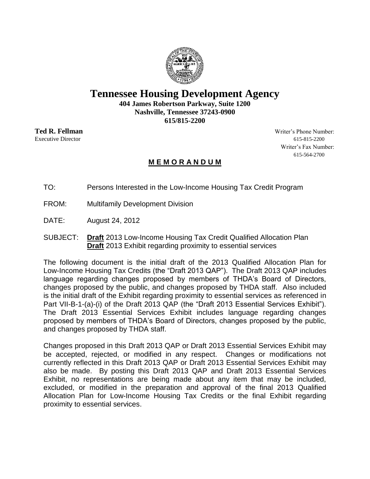

# **Tennessee Housing Development Agency**

**404 James Robertson Parkway, Suite 1200 Nashville, Tennessee 37243-0900 615/815-2200**

**Ted R. Fellman** Writer's Phone Number: Executive Director 615-815-2200 Writer's Fax Number: 615-564-2700

# **M E M O R A N D U M**

TO: Persons Interested in the Low-Income Housing Tax Credit Program

- FROM: Multifamily Development Division
- DATE: August 24, 2012
- SUBJECT: **Draft** 2013 Low-Income Housing Tax Credit Qualified Allocation Plan **Draft** 2013 Exhibit regarding proximity to essential services

The following document is the initial draft of the 2013 Qualified Allocation Plan for Low-Income Housing Tax Credits (the "Draft 2013 QAP"). The Draft 2013 QAP includes language regarding changes proposed by members of THDA's Board of Directors, changes proposed by the public, and changes proposed by THDA staff. Also included is the initial draft of the Exhibit regarding proximity to essential services as referenced in Part VII-B-1-(a)-(i) of the Draft 2013 QAP (the "Draft 2013 Essential Services Exhibit"). The Draft 2013 Essential Services Exhibit includes language regarding changes proposed by members of THDA's Board of Directors, changes proposed by the public, and changes proposed by THDA staff.

Changes proposed in this Draft 2013 QAP or Draft 2013 Essential Services Exhibit may be accepted, rejected, or modified in any respect. Changes or modifications not currently reflected in this Draft 2013 QAP or Draft 2013 Essential Services Exhibit may also be made. By posting this Draft 2013 QAP and Draft 2013 Essential Services Exhibit, no representations are being made about any item that may be included, excluded, or modified in the preparation and approval of the final 2013 Qualified Allocation Plan for Low-Income Housing Tax Credits or the final Exhibit regarding proximity to essential services.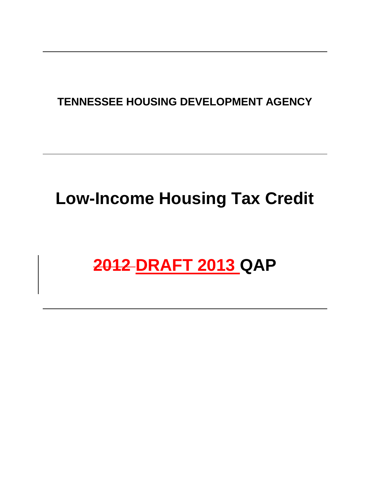# **TENNESSEE HOUSING DEVELOPMENT AGENCY**

# **Low-Income Housing Tax Credit**

# **2012 DRAFT 2013 QAP**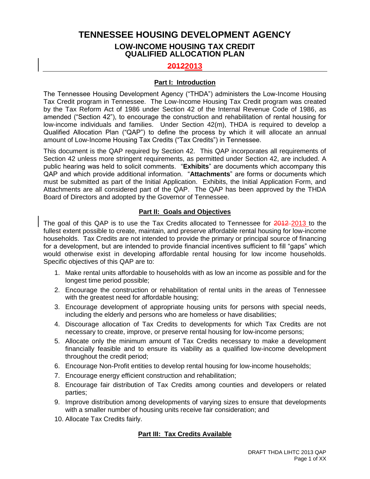# **TENNESSEE HOUSING DEVELOPMENT AGENCY LOW-INCOME HOUSING TAX CREDIT QUALIFIED ALLOCATION PLAN**

# **20122013**

#### **Part I: Introduction**

The Tennessee Housing Development Agency ("THDA") administers the Low-Income Housing Tax Credit program in Tennessee. The Low-Income Housing Tax Credit program was created by the Tax Reform Act of 1986 under Section 42 of the Internal Revenue Code of 1986, as amended ("Section 42"), to encourage the construction and rehabilitation of rental housing for low-income individuals and families. Under Section 42(m), THDA is required to develop a Qualified Allocation Plan ("QAP") to define the process by which it will allocate an annual amount of Low-Income Housing Tax Credits ("Tax Credits") in Tennessee.

This document is the QAP required by Section 42. This QAP incorporates all requirements of Section 42 unless more stringent requirements, as permitted under Section 42, are included. A public hearing was held to solicit comments. "**Exhibits**" are documents which accompany this QAP and which provide additional information. "**Attachments**" are forms or documents which must be submitted as part of the Initial Application. Exhibits, the Initial Application Form, and Attachments are all considered part of the QAP. The QAP has been approved by the THDA Board of Directors and adopted by the Governor of Tennessee.

# **Part II: Goals and Objectives**

The goal of this QAP is to use the Tax Credits allocated to Tennessee for 2012-2013 to the fullest extent possible to create, maintain, and preserve affordable rental housing for low-income households. Tax Credits are not intended to provide the primary or principal source of financing for a development, but are intended to provide financial incentives sufficient to fill "gaps" which would otherwise exist in developing affordable rental housing for low income households. Specific objectives of this QAP are to:

- 1. Make rental units affordable to households with as low an income as possible and for the longest time period possible;
- 2. Encourage the construction or rehabilitation of rental units in the areas of Tennessee with the greatest need for affordable housing;
- 3. Encourage development of appropriate housing units for persons with special needs, including the elderly and persons who are homeless or have disabilities;
- 4. Discourage allocation of Tax Credits to developments for which Tax Credits are not necessary to create, improve, or preserve rental housing for low-income persons;
- 5. Allocate only the minimum amount of Tax Credits necessary to make a development financially feasible and to ensure its viability as a qualified low-income development throughout the credit period;
- 6. Encourage Non-Profit entities to develop rental housing for low-income households;
- 7. Encourage energy efficient construction and rehabilitation;
- 8. Encourage fair distribution of Tax Credits among counties and developers or related parties;
- 9. Improve distribution among developments of varying sizes to ensure that developments with a smaller number of housing units receive fair consideration; and
- 10. Allocate Tax Credits fairly.

# **Part III: Tax Credits Available**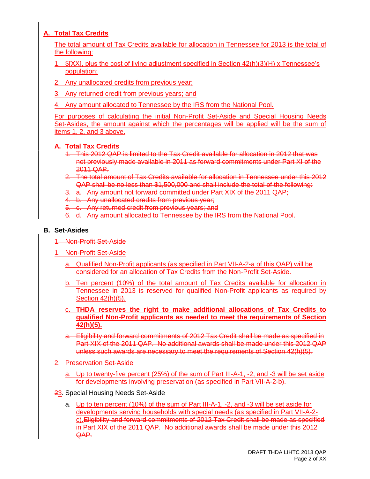# **A. Total Tax Credits**

The total amount of Tax Credits available for allocation in Tennessee for 2013 is the total of the following:

- 1. \$[XX], plus the cost of living adjustment specified in Section 42(h)(3)(H) x Tennessee's population;
- 2. Any unallocated credits from previous year;
- 3. Any returned credit from previous years; and
- 4. Any amount allocated to Tennessee by the IRS from the National Pool.

For purposes of calculating the initial Non-Profit Set-Aside and Special Housing Needs Set-Asides, the amount against which the percentages will be applied will be the sum of items 1, 2, and 3 above.

# **A. Total Tax Credits**

- 1. This 2012 QAP is limited to the Tax Credit available for allocation in 2012 that was not previously made available in 2011 as forward commitments under Part XI of the 2011 QAP.
- 2. The total amount of Tax Credits available for allocation in Tennessee under this 2012 QAP shall be no less than \$1,500,000 and shall include the total of the following:
- 3. a. Any amount not forward committed under Part XIX of the 2011 QAP;

4. b. Any unallocated credits from previous year;

- 5. c. Any returned credit from previous years; and
- 6. d. Any amount allocated to Tennessee by the IRS from the National Pool.

# **B. Set-Asides**

- 1. Non-Profit Set-Aside
- 1. Non-Profit Set-Aside
	- a. Qualified Non-Profit applicants (as specified in Part VII-A-2-a of this QAP) will be considered for an allocation of Tax Credits from the Non-Profit Set-Aside.
	- b. Ten percent (10%) of the total amount of Tax Credits available for allocation in Tennessee in 2013 is reserved for qualified Non-Profit applicants as required by Section 42(h)(5).
	- c. **THDA reserves the right to make additional allocations of Tax Credits to qualified Non-Profit applicants as needed to meet the requirements of Section 42(h)(5).**
	- a. Eligibility and forward commitments of 2012 Tax Credit shall be made as specified in Part XIX of the 2011 QAP. No additional awards shall be made under this 2012 QAP unless such awards are necessary to meet the requirements of Section 42(h)(5).
- 2. Preservation Set-Aside
	- a. Up to twenty-five percent (25%) of the sum of Part III-A-1, -2, and -3 will be set aside for developments involving preservation (as specified in Part VII-A-2-b).
- 23. Special Housing Needs Set-Aside
	- a. Up to ten percent (10%) of the sum of Part III-A-1, -2, and -3 will be set aside for developments serving households with special needs (as specified in Part VII-A-2 c).Eligibility and forward commitments of 2012 Tax Credit shall be made as specified in Part XIX of the 2011 QAP. No additional awards shall be made under this 2012 QAP.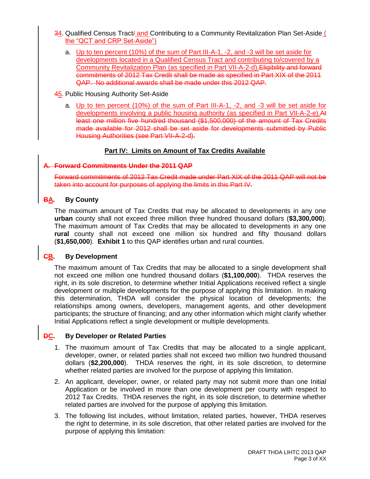- 34. Qualified Census Tract<sup>/</sup> and Contributing to a Community Revitalization Plan Set-Aside ( the "QCT and CRP Set-Aside")
	- a. Up to ten percent (10%) of the sum of Part III-A-1, -2, and -3 will be set aside for developments located in a Qualified Census Tract and contributing to/covered by a Community Revitalization Plan (as specified in Part VII-A-2-d).Eligibility and forward commitments of 2012 Tax Credit shall be made as specified in Part XIX of the 2011 QAP. No additional awards shall be made under this 2012 QAP.
- 45. Public Housing Authority Set-Aside
	- a. Up to ten percent (10%) of the sum of Part III-A-1, -2, and -3 will be set aside for developments involving a public housing authority (as specified in Part VII-A-2-e).At least one million five hundred thousand (\$1,500,000) of the amount of Tax Credits made available for 2012 shall be set aside for developments submitted by Public Housing Authorities (see Part VII-A-2-d).

# **Part IV: Limits on Amount of Tax Credits Available**

#### **A. Forward Commitments Under the 2011 QAP**

Forward commitments of 2012 Tax Credit made under Part XIX of the 2011 QAP will not be taken into account for purposes of applying the limits in this Part IV.

# **BA. By County**

The maximum amount of Tax Credits that may be allocated to developments in any one **urban** county shall not exceed three million three hundred thousand dollars (**\$3,300,000**). The maximum amount of Tax Credits that may be allocated to developments in any one **rural** county shall not exceed one million six hundred and fifty thousand dollars (**\$1,650,000**). **Exhibit 1** to this QAP identifies urban and rural counties.

# **CB. By Development**

The maximum amount of Tax Credits that may be allocated to a single development shall not exceed one million one hundred thousand dollars (**\$1,100,000**). THDA reserves the right, in its sole discretion, to determine whether Initial Applications received reflect a single development or multiple developments for the purpose of applying this limitation. In making this determination, THDA will consider the physical location of developments; the relationships among owners, developers, management agents, and other development participants; the structure of financing; and any other information which might clarify whether Initial Applications reflect a single development or multiple developments.

# **DC. By Developer or Related Parties**

- 1. The maximum amount of Tax Credits that may be allocated to a single applicant, developer, owner, or related parties shall not exceed two million two hundred thousand dollars (**\$2,200,000**). THDA reserves the right, in its sole discretion, to determine whether related parties are involved for the purpose of applying this limitation.
- 2. An applicant, developer, owner, or related party may not submit more than one Initial Application or be involved in more than one development per county with respect to 2012 Tax Credits. THDA reserves the right, in its sole discretion, to determine whether related parties are involved for the purpose of applying this limitation.
- 3. The following list includes, without limitation, related parties, however, THDA reserves the right to determine, in its sole discretion, that other related parties are involved for the purpose of applying this limitation: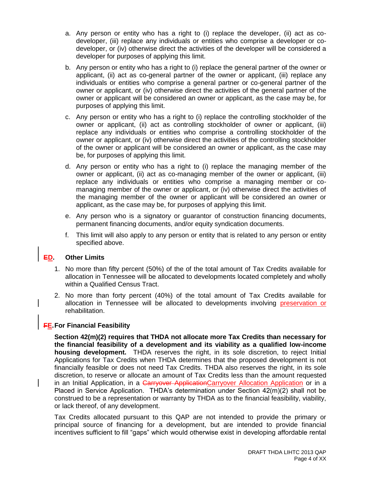- a. Any person or entity who has a right to (i) replace the developer, (ii) act as codeveloper, (iii) replace any individuals or entities who comprise a developer or codeveloper, or (iv) otherwise direct the activities of the developer will be considered a developer for purposes of applying this limit.
- b. Any person or entity who has a right to (i) replace the general partner of the owner or applicant, (ii) act as co-general partner of the owner or applicant, (iii) replace any individuals or entities who comprise a general partner or co-general partner of the owner or applicant, or (iv) otherwise direct the activities of the general partner of the owner or applicant will be considered an owner or applicant, as the case may be, for purposes of applying this limit.
- c. Any person or entity who has a right to (i) replace the controlling stockholder of the owner or applicant, (ii) act as controlling stockholder of owner or applicant, (iii) replace any individuals or entities who comprise a controlling stockholder of the owner or applicant, or (iv) otherwise direct the activities of the controlling stockholder of the owner or applicant will be considered an owner or applicant, as the case may be, for purposes of applying this limit.
- d. Any person or entity who has a right to (i) replace the managing member of the owner or applicant, (ii) act as co-managing member of the owner or applicant, (iii) replace any individuals or entities who comprise a managing member or comanaging member of the owner or applicant, or (iv) otherwise direct the activities of the managing member of the owner or applicant will be considered an owner or applicant, as the case may be, for purposes of applying this limit.
- e. Any person who is a signatory or guarantor of construction financing documents, permanent financing documents, and/or equity syndication documents.
- f. This limit will also apply to any person or entity that is related to any person or entity specified above.

# **ED. Other Limits**

- 1. No more than fifty percent (50%) of the of the total amount of Tax Credits available for allocation in Tennessee will be allocated to developments located completely and wholly within a Qualified Census Tract.
- 2. No more than forty percent (40%) of the total amount of Tax Credits available for allocation in Tennessee will be allocated to developments involving preservation or rehabilitation.

# **FE.For Financial Feasibility**

**Section 42(m)(2) requires that THDA not allocate more Tax Credits than necessary for the financial feasibility of a development and its viability as a qualified low-income housing development.** THDA reserves the right, in its sole discretion, to reject Initial Applications for Tax Credits when THDA determines that the proposed development is not financially feasible or does not need Tax Credits. THDA also reserves the right, in its sole discretion, to reserve or allocate an amount of Tax Credits less than the amount requested in an Initial Application, in a Carryover ApplicationCarryover Allocation Application or in a Placed in Service Application. THDA's determination under Section 42(m)(2) shall not be construed to be a representation or warranty by THDA as to the financial feasibility, viability, or lack thereof, of any development.

Tax Credits allocated pursuant to this QAP are not intended to provide the primary or principal source of financing for a development, but are intended to provide financial incentives sufficient to fill "gaps" which would otherwise exist in developing affordable rental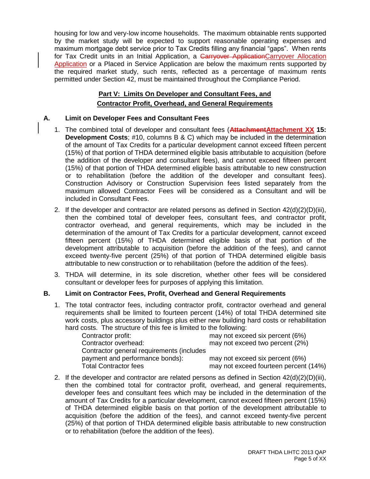housing for low and very-low income households. The maximum obtainable rents supported by the market study will be expected to support reasonable operating expenses and maximum mortgage debt service prior to Tax Credits filling any financial "gaps". When rents for Tax Credit units in an Initial Application, a Carryover ApplicationCarryover Allocation Application or a Placed in Service Application are below the maximum rents supported by the required market study, such rents, reflected as a percentage of maximum rents permitted under Section 42, must be maintained throughout the Compliance Period.

# **Part V: Limits On Developer and Consultant Fees, and Contractor Profit, Overhead, and General Requirements**

# **A. Limit on Developer Fees and Consultant Fees**

- 1. The combined total of developer and consultant fees (**AttachmentAttachment XX 15: Development Costs**; #10, columns B & C) which may be included in the determination of the amount of Tax Credits for a particular development cannot exceed fifteen percent (15%) of that portion of THDA determined eligible basis attributable to acquisition (before the addition of the developer and consultant fees), and cannot exceed fifteen percent (15%) of that portion of THDA determined eligible basis attributable to new construction or to rehabilitation (before the addition of the developer and consultant fees). Construction Advisory or Construction Supervision fees listed separately from the maximum allowed Contractor Fees will be considered as a Consultant and will be included in Consultant Fees.
- 2. If the developer and contractor are related persons as defined in Section  $42(d)(2)(D)(iii)$ , then the combined total of developer fees, consultant fees, and contractor profit, contractor overhead, and general requirements, which may be included in the determination of the amount of Tax Credits for a particular development, cannot exceed fifteen percent (15%) of THDA determined eligible basis of that portion of the development attributable to acquisition (before the addition of the fees), and cannot exceed twenty-five percent (25%) of that portion of THDA determined eligible basis attributable to new construction or to rehabilitation (before the addition of the fees).
- 3. THDA will determine, in its sole discretion, whether other fees will be considered consultant or developer fees for purposes of applying this limitation.

# **B. Limit on Contractor Fees, Profit, Overhead and General Requirements**

1. The total contractor fees, including contractor profit, contractor overhead and general requirements shall be limited to fourteen percent (14%) of total THDA determined site work costs, plus accessory buildings plus either new building hard costs or rehabilitation hard costs. The structure of this fee is limited to the following:

| Contractor profit:                        | may not exceed six percent (6%)       |
|-------------------------------------------|---------------------------------------|
| Contractor overhead:                      | may not exceed two percent (2%)       |
| Contractor general requirements (includes |                                       |
| payment and performance bonds):           | may not exceed six percent (6%)       |
| <b>Total Contractor fees</b>              | may not exceed fourteen percent (14%) |

2. If the developer and contractor are related persons as defined in Section 42(d)(2)(D)(iii), then the combined total for contractor profit, overhead, and general requirements, developer fees and consultant fees which may be included in the determination of the amount of Tax Credits for a particular development, cannot exceed fifteen percent (15%) of THDA determined eligible basis on that portion of the development attributable to acquisition (before the addition of the fees), and cannot exceed twenty-five percent (25%) of that portion of THDA determined eligible basis attributable to new construction or to rehabilitation (before the addition of the fees).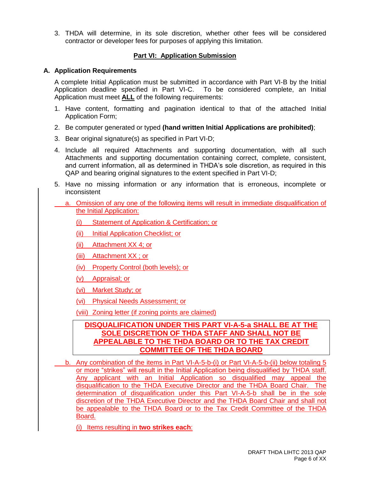3. THDA will determine, in its sole discretion, whether other fees will be considered contractor or developer fees for purposes of applying this limitation.

# **Part VI: Application Submission**

#### **A. Application Requirements**

A complete Initial Application must be submitted in accordance with Part VI-B by the Initial Application deadline specified in Part VI-C. To be considered complete, an Initial Application must meet **ALL** of the following requirements:

- 1. Have content, formatting and pagination identical to that of the attached Initial Application Form;
- 2. Be computer generated or typed **(hand written Initial Applications are prohibited)**;
- 3. Bear original signature(s) as specified in Part VI-D;
- 4. Include all required Attachments and supporting documentation, with all such Attachments and supporting documentation containing correct, complete, consistent, and current information, all as determined in THDA's sole discretion, as required in this QAP and bearing original signatures to the extent specified in Part VI-D;
- 5. Have no missing information or any information that is erroneous, incomplete or inconsistent
- a. Omission of any one of the following items will result in immediate disqualification of the Initial Application:
	- (i) Statement of Application & Certification; or
	- (ii) Initial Application Checklist; or
	- (ii) Attachment XX 4; or
	- (iii) Attachment XX ; or
	- (iv) Property Control (both levels); or
	- (v) Appraisal; or
	- (vi) Market Study; or
	- (vi) Physical Needs Assessment; or
	- (viii) Zoning letter (if zoning points are claimed)

# **DISQUALIFICATION UNDER THIS PART VI-A-5-a SHALL BE AT THE SOLE DISCRETION OF THDA STAFF AND SHALL NOT BE APPEALABLE TO THE THDA BOARD OR TO THE TAX CREDIT COMMITTEE OF THE THDA BOARD**

b. Any combination of the items in Part VI-A-5-b-(i) or Part VI-A-5-b-(ii) below totaling 5 or more "strikes" will result in the Initial Application being disqualified by THDA staff. Any applicant with an Initial Application so disqualified may appeal the disqualification to the THDA Executive Director and the THDA Board Chair. The determination of disqualification under this Part VI-A-5-b shall be in the sole discretion of the THDA Executive Director and the THDA Board Chair and shall not be appealable to the THDA Board or to the Tax Credit Committee of the THDA Board.

(i) Items resulting in **two strikes each**: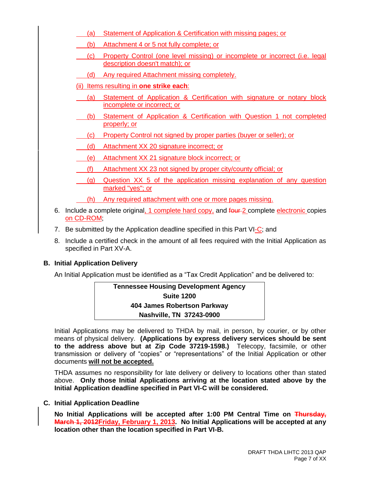- (a) Statement of Application & Certification with missing pages; or
- (b) Attachment 4 or 5 not fully complete; or
- (c) Property Control (one level missing) or incomplete or incorrect (i.e. legal description doesn't match); or
- (d) Any required Attachment missing completely.
- (ii) Items resulting in **one strike each**:
- (a) Statement of Application & Certification with signature or notary block incomplete or incorrect; or
- (b) Statement of Application & Certification with Question 1 not completed properly; or
- (c) Property Control not signed by proper parties (buyer or seller); or
- (d) Attachment XX 20 signature incorrect; or
- (e) Attachment XX 21 signature block incorrect; or
- (f) Attachment XX 23 not signed by proper city/county official; or
- (g) Question XX 5 of the application missing explanation of any question marked "yes"; or
	- (h) Any required attachment with one or more pages missing.
- 6. Include a complete original, 1 complete hard copy, and four 2 complete electronic copies on CD-ROM;
- 7. Be submitted by the Application deadline specified in this Part VI-C; and
- 8. Include a certified check in the amount of all fees required with the Initial Application as specified in Part XV-A.

# **B. Initial Application Delivery**

An Initial Application must be identified as a "Tax Credit Application" and be delivered to:

| <b>Tennessee Housing Development Agency</b> |  |  |
|---------------------------------------------|--|--|
| <b>Suite 1200</b>                           |  |  |
| 404 James Robertson Parkway                 |  |  |
| Nashville, TN 37243-0900                    |  |  |

Initial Applications may be delivered to THDA by mail, in person, by courier, or by other means of physical delivery. **(Applications by express delivery services should be sent to the address above but at Zip Code 37219-1598.)** Telecopy, facsimile, or other transmission or delivery of "copies" or "representations" of the Initial Application or other documents **will not be accepted.**

THDA assumes no responsibility for late delivery or delivery to locations other than stated above. **Only those Initial Applications arriving at the location stated above by the Initial Application deadline specified in Part VI-C will be considered.**

**C. Initial Application Deadline**

**No Initial Applications will be accepted after 1:00 PM Central Time on Thursday, March 1, 2012Friday, February 1, 2013. No Initial Applications will be accepted at any location other than the location specified in Part VI-B.**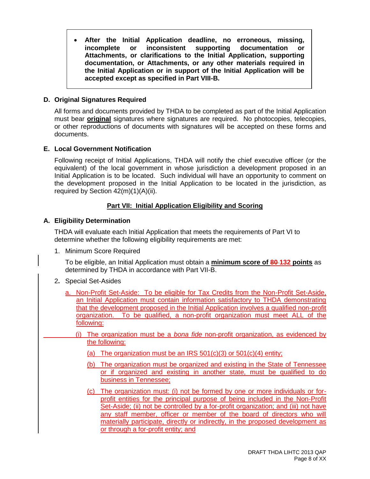**After the Initial Application deadline, no erroneous, missing, incomplete or inconsistent supporting documentation or Attachments, or clarifications to the Initial Application, supporting documentation, or Attachments, or any other materials required in the Initial Application or in support of the Initial Application will be accepted except as specified in Part VIII-B.**

# **D. Original Signatures Required**

All forms and documents provided by THDA to be completed as part of the Initial Application must bear **original** signatures where signatures are required. No photocopies, telecopies, or other reproductions of documents with signatures will be accepted on these forms and documents.

# **E. Local Government Notification**

Following receipt of Initial Applications, THDA will notify the chief executive officer (or the equivalent) of the local government in whose jurisdiction a development proposed in an Initial Application is to be located. Such individual will have an opportunity to comment on the development proposed in the Initial Application to be located in the jurisdiction, as required by Section 42(m)(1)(A)(ii).

# **Part VII: Initial Application Eligibility and Scoring**

# **A. Eligibility Determination**

THDA will evaluate each Initial Application that meets the requirements of Part VI to determine whether the following eligibility requirements are met:

1. Minimum Score Required

To be eligible, an Initial Application must obtain a **minimum score of 80 132 points** as determined by THDA in accordance with Part VII-B.

- 2**.** Special Set-Asides
	- a. Non-Profit Set-Aside: To be eligible for Tax Credits from the Non-Profit Set-Aside, an Initial Application must contain information satisfactory to THDA demonstrating that the development proposed in the Initial Application involves a qualified non-profit organization. To be qualified, a non-profit organization must meet ALL of the following:
		- (i) The organization must be a *bona fide* non-profit organization, as evidenced by the following:
			- (a) The organization must be an IRS  $501(c)(3)$  or  $501(c)(4)$  entity;
			- (b) The organization must be organized and existing in the State of Tennessee or if organized and existing in another state, must be qualified to do business in Tennessee;
			- (c) The organization must: (i) not be formed by one or more individuals or forprofit entities for the principal purpose of being included in the Non-Profit Set-Aside; (ii) not be controlled by a for-profit organization; and (iii) not have any staff member, officer or member of the board of directors who will materially participate, directly or indirectly, in the proposed development as or through a for-profit entity; and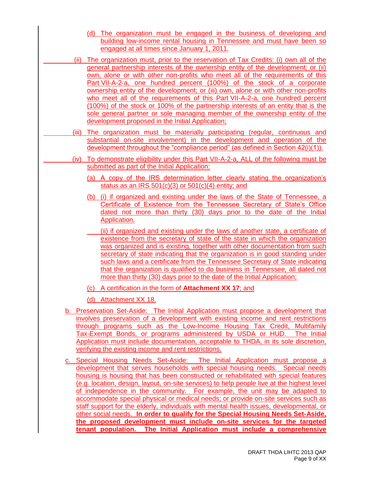- (d) The organization must be engaged in the business of developing and building low-income rental housing in Tennessee and must have been so engaged at all times since January 1, 2011.
- (ii) The organization must, prior to the reservation of Tax Credits: (i) own all of the general partnership interests of the ownership entity of the development; or (ii) own, alone or with other non-profits who meet all of the requirements of this Part VII-A-2-a, one hundred percent (100%) of the stock of a corporate ownership entity of the development; or (iii) own, alone or with other non-profits who meet all of the requirements of this Part VII-A-2-a, one hundred percent (100%) of the stock or 100% of the partnership interests of an entity that is the sole general partner or sole managing member of the ownership entity of the development proposed in the Initial Application;
- (iii) The organization must be materially participating (regular, continuous and substantial on-site involvement) in the development and operation of the development throughout the "compliance period" (as defined in Section 42(i)(1)).
- (iv) To demonstrate eligibility under this Part VII-A-2-a, ALL of the following must be submitted as part of the Initial Application:
	- (a) A copy of the IRS determination letter clearly stating the organization's status as an IRS  $501(c)(3)$  or  $501(c)(4)$  entity; and
	- (b) (i) if organized and existing under the laws of the State of Tennessee, a Certificate of Existence from the Tennessee Secretary of State's Office dated not more than thirty (30) days prior to the date of the Initial Application.
	- (ii) if organized and existing under the laws of another state, a certificate of existence from the secretary of state of the state in which the organization was organized and is existing, together with other documentation from such secretary of state indicating that the organization is in good standing under such laws and a certificate from the Tennessee Secretary of State indicating that the organization is qualified to do business in Tennessee, all dated not more than thirty (30) days prior to the date of the Initial Application;
	- (c) A certification in the form of **Attachment XX 17**; and
	- (d) Attachment XX 18.
	- b. Preservation Set-Aside: The Initial Application must propose a development that involves preservation of a development with existing income and rent restrictions through programs such as the Low-Income Housing Tax Credit, Multifamily Tax-Exempt Bonds, or programs administered by USDA or HUD. The Initial Application must include documentation, acceptable to THDA, in its sole discretion, verifying the existing income and rent restrictions.
	- c. Special Housing Needs Set-Aside: The Initial Application must propose a development that serves households with special housing needs. Special needs housing is housing that has been constructed or rehabilitated with special features (e.g. location, design, layout, on-site services) to help people live at the highest level of independence in the community. For example, the unit may be adapted to accommodate special physical or medical needs; or provide on-site services such as staff support for the elderly, individuals with mental health issues, developmental, or other social needs. **In order to qualify for the Special Housing Needs Set-Aside, the proposed development must include on-site services for the targeted tenant population. The Initial Application must include a comprehensive**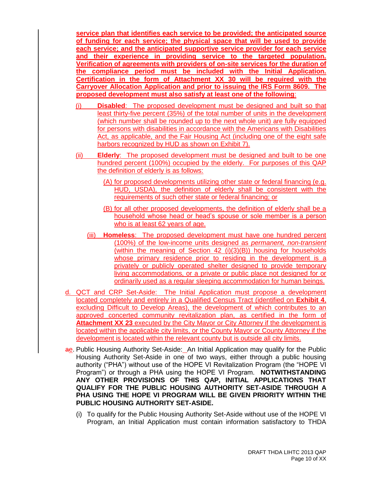**service plan that identifies each service to be provided; the anticipated source of funding for each service; the physical space that will be used to provide each service; and the anticipated supportive service provider for each service and their experience in providing service to the targeted population. Verification of agreements with providers of on-site services for the duration of the compliance period must be included with the Initial Application. Certification in the form of Attachment XX 30 will be required with the Carryover Allocation Application and prior to issuing the IRS Form 8609. The proposed development must also satisfy at least one of the following**:

- (i) **Disabled**: The proposed development must be designed and built so that least thirty-five percent (35%) of the total number of units in the development (which number shall be rounded up to the next whole unit) are fully equipped for persons with disabilities in accordance with the Americans with Disabilities Act, as applicable, and the Fair Housing Act (including one of the eight safe harbors recognized by HUD as shown on Exhibit 7).
- (ii) **Elderly**: The proposed development must be designed and built to be one hundred percent (100%) occupied by the elderly. For purposes of this QAP the definition of elderly is as follows:
	- (A) for proposed developments utilizing other state or federal financing (e.g. HUD, USDA), the definition of elderly shall be consistent with the requirements of such other state or federal financing; or
	- (B) for all other proposed developments, the definition of elderly shall be a household whose head or head's spouse or sole member is a person who is at least 62 years of age.
	- (iii) **Homeless**: The proposed development must have one hundred percent (100%) of the low-income units designed as *permanent, non-transient* (within the meaning of Section 42 (i)(3)(B)) housing for households whose primary residence prior to residing in the development is a privately or publicly operated shelter designed to provide temporary living accommodations, or a private or public place not designed for or ordinarily used as a regular sleeping accommodation for human beings.
- d. QCT and CRP Set-Aside: The Initial Application must propose a development located completely and entirely in a Qualified Census Tract (identified on **Exhibit 4**, excluding Difficult to Develop Areas), the development of which contributes to an approved concerted community revitalization plan, as certified in the form of **Attachment XX 23** executed by the City Mayor or City Attorney if the development is located within the applicable city limits, or the County Mayor or County Attorney if the development is located within the relevant county but is outside all city limits.
- ae. Public Housing Authority Set-Aside: An Initial Application may qualify for the Public Housing Authority Set-Aside in one of two ways, either through a public housing authority ("PHA") without use of the HOPE VI Revitalization Program (the "HOPE VI Program") or through a PHA using the HOPE VI Program. **NOTWITHSTANDING ANY OTHER PROVISIONS OF THIS QAP, INITIAL APPLICATIONS THAT QUALIFY FOR THE PUBLIC HOUSING AUTHORITY SET-ASIDE THROUGH A PHA USING THE HOPE VI PROGRAM WILL BE GIVEN PRIORITY WITHIN THE PUBLIC HOUSING AUTHORITY SET-ASIDE.**
	- (i) To qualify for the Public Housing Authority Set-Aside without use of the HOPE VI Program, an Initial Application must contain information satisfactory to THDA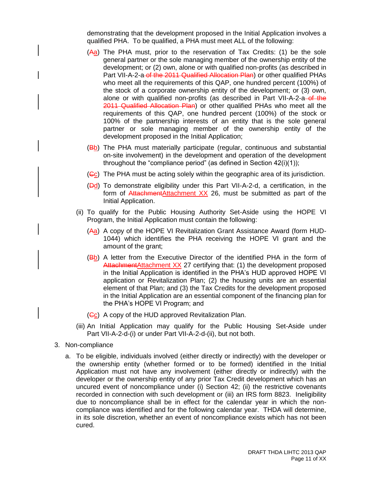demonstrating that the development proposed in the Initial Application involves a qualified PHA. To be qualified, a PHA must meet ALL of the following:

- (Aa) The PHA must, prior to the reservation of Tax Credits: (1) be the sole general partner or the sole managing member of the ownership entity of the development; or (2) own, alone or with qualified non-profits (as described in Part VII-A-2-a of the 2011 Qualified Allocation Plan) or other qualified PHAs who meet all the requirements of this QAP, one hundred percent (100%) of the stock of a corporate ownership entity of the development; or (3) own, alone or with qualified non-profits (as described in Part VII-A-2-a-of the 2011 Qualified Allocation Plan) or other qualified PHAs who meet all the requirements of this QAP, one hundred percent (100%) of the stock or 100% of the partnership interests of an entity that is the sole general partner or sole managing member of the ownership entity of the development proposed in the Initial Application;
- (Bb) The PHA must materially participate (regular, continuous and substantial on-site involvement) in the development and operation of the development throughout the "compliance period" (as defined in Section 42(i)(1));
- (Gc) The PHA must be acting solely within the geographic area of its jurisdiction.
- $(\overline{Pd})$  To demonstrate eligibility under this Part VII-A-2-d, a certification, in the form of AttachmentAttachment XX 26, must be submitted as part of the Initial Application.
- (ii) To qualify for the Public Housing Authority Set-Aside using the HOPE VI Program, the Initial Application must contain the following:
	- (Aa) A copy of the HOPE VI Revitalization Grant Assistance Award (form HUD-1044) which identifies the PHA receiving the HOPE VI grant and the amount of the grant;
	- (Bb) A letter from the Executive Director of the identified PHA in the form of AttachmentAttachment XX 27 certifying that: (1) the development proposed in the Initial Application is identified in the PHA's HUD approved HOPE VI application or Revitalization Plan; (2) the housing units are an essential element of that Plan; and (3) the Tax Credits for the development proposed in the Initial Application are an essential component of the financing plan for the PHA's HOPE VI Program; and
	- $(GC)$  A copy of the HUD approved Revitalization Plan.
- (iii) An Initial Application may qualify for the Public Housing Set-Aside under Part VII-A-2-d-(i) or under Part VII-A-2-d-(ii), but not both.
- 3. Non-compliance
	- a. To be eligible, individuals involved (either directly or indirectly) with the developer or the ownership entity (whether formed or to be formed) identified in the Initial Application must not have any involvement (either directly or indirectly) with the developer or the ownership entity of any prior Tax Credit development which has an uncured event of noncompliance under (i) Section 42; (ii) the restrictive covenants recorded in connection with such development or (iii) an IRS form 8823. Ineligibility due to noncompliance shall be in effect for the calendar year in which the noncompliance was identified and for the following calendar year. THDA will determine, in its sole discretion, whether an event of noncompliance exists which has not been cured.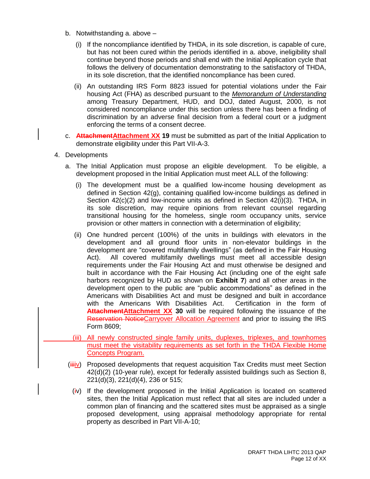- b. Notwithstanding a. above
	- (i) If the noncompliance identified by THDA, in its sole discretion, is capable of cure, but has not been cured within the periods identified in a. above, ineligibility shall continue beyond those periods and shall end with the Initial Application cycle that follows the delivery of documentation demonstrating to the satisfactory of THDA, in its sole discretion, that the identified noncompliance has been cured.
	- (ii) An outstanding IRS Form 8823 issued for potential violations under the Fair housing Act (FHA) as described pursuant to the *Memorandum of Understanding* among Treasury Department, HUD, and DOJ, dated August, 2000, is not considered noncompliance under this section unless there has been a finding of discrimination by an adverse final decision from a federal court or a judgment enforcing the terms of a consent decree.
- c. **AttachmentAttachment XX 19** must be submitted as part of the Initial Application to demonstrate eligibility under this Part VII-A-3.
- 4. Developments
	- a. The Initial Application must propose an eligible development. To be eligible, a development proposed in the Initial Application must meet ALL of the following:
		- (i) The development must be a qualified low-income housing development as defined in Section 42(g), containing qualified low-income buildings as defined in Section 42(c)(2) and low-income units as defined in Section 42(i)(3). THDA, in its sole discretion, may require opinions from relevant counsel regarding transitional housing for the homeless, single room occupancy units, service provision or other matters in connection with a determination of eligibility;
		- (ii) One hundred percent (100%) of the units in buildings with elevators in the development and all ground floor units in non-elevator buildings in the development are "covered multifamily dwellings" (as defined in the Fair Housing Act). All covered multifamily dwellings must meet all accessible design requirements under the Fair Housing Act and must otherwise be designed and built in accordance with the Fair Housing Act (including one of the eight safe harbors recognized by HUD as shown on **Exhibit 7**) and all other areas in the development open to the public are "public accommodations" as defined in the Americans with Disabilities Act and must be designed and built in accordance with the Americans With Disabilities Act. Certification in the form of **AttachmentAttachment XX 30** will be required following the issuance of the Reservation NoticeCarryover Allocation Agreement and prior to issuing the IRS Form 8609;
		- (iii) All newly constructed single family units, duplexes, triplexes, and townhomes must meet the visitability requirements as set forth in the THDA Flexible Home Concepts Program.
	- $(iiiiv)$  Proposed developments that request acquisition Tax Credits must meet Section 42(d)(2) (10-year rule), except for federally assisted buildings such as Section 8, 221(d)(3), 221(d)(4), 236 or 515;
		- $(iv)$  If the development proposed in the Initial Application is located on scattered sites, then the Initial Application must reflect that all sites are included under a common plan of financing and the scattered sites must be appraised as a single proposed development, using appraisal methodology appropriate for rental property as described in Part VII-A-10;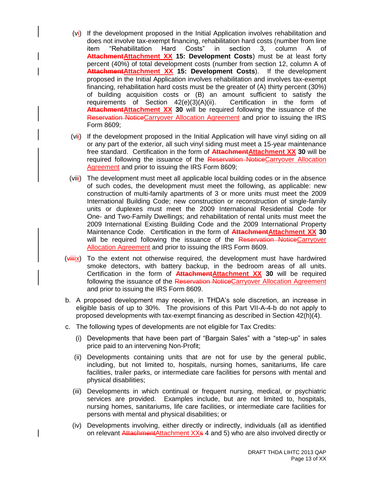- (vi) If the development proposed in the Initial Application involves rehabilitation and does not involve tax-exempt financing, rehabilitation hard costs (number from line item "Rehabilitation Hard Costs" in section 3, column A of **Attachment Attachment XX 15: Development Costs**) must be at least forty percent (40%) of total development costs (number from section 12, column A of **AttachmentAttachment XX 15: Development Costs**). If the development proposed in the Initial Application involves rehabilitation and involves tax-exempt financing, rehabilitation hard costs must be the greater of (A) thirty percent (30%) of building acquisition costs or (B) an amount sufficient to satisfy the requirements of Section 42(e)(3)(A)(ii). Certification in the form of Attachment Attachment XX 30 will be required following the issuance of the Reservation NoticeCarryover Allocation Agreement and prior to issuing the IRS Form 8609;
- (vii) If the development proposed in the Initial Application will have vinyl siding on all or any part of the exterior, all such vinyl siding must meet a 15-year maintenance free standard. Certification in the form of **AttachmentAttachment XX 30** will be required following the issuance of the Reservation NoticeCarryover Allocation Agreement and prior to issuing the IRS Form 8609;
- (viii) The development must meet all applicable local building codes or in the absence of such codes, the development must meet the following, as applicable: new construction of multi-family apartments of 3 or more units must meet the 2009 International Building Code; new construction or reconstruction of single-family units or duplexes must meet the 2009 International Residential Code for One- and Two-Family Dwellings; and rehabilitation of rental units must meet the 2009 International Existing Building Code and the 2009 International Property Maintenance Code. Certification in the form of **AttachmentAttachment XX 30** will be required following the issuance of the Reservation NoticeCarryover Allocation Agreement and prior to issuing the IRS Form 8609.
- $(v\ddot{+}W\ddot{+}W\ddot{+}W\ddot{+}W\ddot{+}W\ddot{+}W\dot{+}W\dot{+}W\dot{+}W\dot{+}W\dot{+}W\dot{+}W\dot{+}W\dot{+}W\dot{+}W\dot{+}W\dot{+}W\dot{+}W\dot{+}W\dot{+}W\dot{+}W\dot{+}W\dot{+}W\dot{+}W\dot{+}W\dot{+}W\dot{+}W\dot{+}W\dot{+}W\dot{+}W\dot{+}W\dot{+}W\dot{+}W\dot{+}W\dot{+}W\dot{$ smoke detectors, with battery backup, in the bedroom areas of all units. Certification in the form of **AttachmentAttachment XX 30** will be required following the issuance of the Reservation NoticeCarryover Allocation Agreement and prior to issuing the IRS Form 8609.
- b. A proposed development may receive, in THDA's sole discretion, an increase in eligible basis of up to 30%. The provisions of this Part VII-A-4-b do not apply to proposed developments with tax-exempt financing as described in Section 42(h)(4).
- c. The following types of developments are not eligible for Tax Credits:
	- (i) Developments that have been part of "Bargain Sales" with a "step-up" in sales price paid to an intervening Non-Profit;
	- (ii) Developments containing units that are not for use by the general public, including, but not limited to, hospitals, nursing homes, sanitariums, life care facilities, trailer parks, or intermediate care facilities for persons with mental and physical disabilities;
	- (iii) Developments in which continual or frequent nursing, medical, or psychiatric services are provided. Examples include, but are not limited to, hospitals, nursing homes, sanitariums, life care facilities, or intermediate care facilities for persons with mental and physical disabilities; or
	- (iv) Developments involving, either directly or indirectly, individuals (all as identified on relevant AttachmentAttachment XXs 4 and 5) who are also involved directly or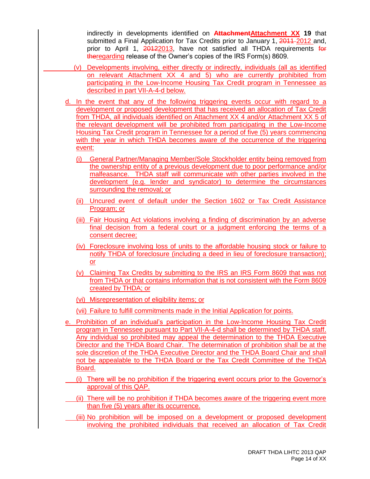indirectly in developments identified on **AttachmentAttachment XX 19** that submitted a Final Application for Tax Credits prior to January 1, 2011–2012 and, prior to April 1, 20122013, have not satisfied all THDA requirements for theregarding release of the Owner's copies of the IRS Form(s) 8609.

- (v) Developments involving, either directly or indirectly, individuals (all as identified on relevant Attachment XX 4 and 5) who are currently prohibited from participating in the Low-Income Housing Tax Credit program in Tennessee as described in part VII-A-4-d below.
- d. In the event that any of the following triggering events occur with regard to a development or proposed development that has received an allocation of Tax Credit from THDA, all individuals identified on Attachment XX 4 and/or Attachment XX 5 of the relevant development will be prohibited from participating in the Low-Income Housing Tax Credit program in Tennessee for a period of five (5) years commencing with the year in which THDA becomes aware of the occurrence of the triggering event:
	- (i) General Partner/Managing Member/Sole Stockholder entity being removed from the ownership entity of a previous development due to poor performance and/or malfeasance. THDA staff will communicate with other parties involved in the development (e.g. lender and syndicator) to determine the circumstances surrounding the removal; or
	- (ii) Uncured event of default under the Section 1602 or Tax Credit Assistance Program; or
	- (iii) Fair Housing Act violations involving a finding of discrimination by an adverse final decision from a federal court or a judgment enforcing the terms of a consent decree;
	- (iv) Foreclosure involving loss of units to the affordable housing stock or failure to notify THDA of foreclosure (including a deed in lieu of foreclosure transaction); or
	- (v) Claiming Tax Credits by submitting to the IRS an IRS Form 8609 that was not from THDA or that contains information that is not consistent with the Form 8609 created by THDA; or
	- (vi) Misrepresentation of eligibility items; or

(vii) Failure to fulfill commitments made in the *Initial Application for points.* 

- e. Prohibition of an individual's participation in the Low-Income Housing Tax Credit program in Tennessee pursuant to Part VII-A-4-d shall be determined by THDA staff. Any individual so prohibited may appeal the determination to the THDA Executive Director and the THDA Board Chair. The determination of prohibition shall be at the sole discretion of the THDA Executive Director and the THDA Board Chair and shall not be appealable to the THDA Board or the Tax Credit Committee of the THDA Board.
- (i) There will be no prohibition if the triggering event occurs prior to the Governor's approval of this QAP.
- (ii) There will be no prohibition if THDA becomes aware of the triggering event more than five (5) years after its occurrence.
- (iii) No prohibition will be imposed on a development or proposed development involving the prohibited individuals that received an allocation of Tax Credit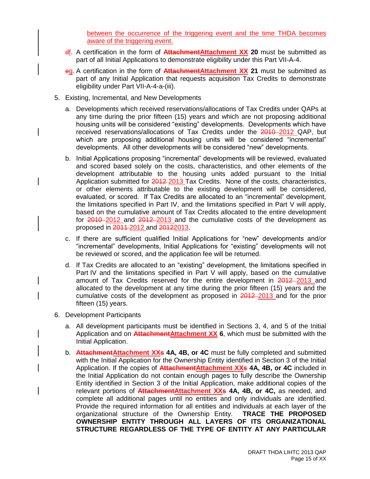between the occurrence of the triggering event and the time THDA becomes aware of the triggering event.

- df. A certification in the form of **AttachmentAttachment XX 20** must be submitted as part of all Initial Applications to demonstrate eligibility under this Part VII-A-4.
- eg. A certification in the form of **AttachmentAttachment XX 21** must be submitted as part of any Initial Application that requests acquisition Tax Credits to demonstrate eligibility under Part VII-A-4-a-(iii).
- 5. Existing, Incremental, and New Developments
	- a. Developments which received reservations/allocations of Tax Credits under QAPs at any time during the prior fifteen (15) years and which are not proposing additional housing units will be considered "existing" developments. Developments which have received reservations/allocations of Tax Credits under the 2010-2012 QAP, but which are proposing additional housing units will be considered "incremental" developments. All other developments will be considered "new" developments.
	- b. Initial Applications proposing "incremental" developments will be reviewed, evaluated and scored based solely on the costs, characteristics, and other elements of the development attributable to the housing units added pursuant to the Initial Application submitted for 2012-2013 Tax Credits. None of the costs, characteristics, or other elements attributable to the existing development will be considered, evaluated, or scored. If Tax Credits are allocated to an "incremental" development, the limitations specified in Part IV, and the limitations specified in Part V will apply, based on the cumulative amount of Tax Credits allocated to the entire development for 2010–2012 and 2012–2013 and the cumulative costs of the development as proposed in 2011-2012 and 20122013.
	- c. If there are sufficient qualified Initial Applications for "new" developments and/or "incremental" developments, Initial Applications for "existing" developments will not be reviewed or scored, and the application fee will be returned.
	- d. If Tax Credits are allocated to an "existing" development, the limitations specified in Part IV and the limitations specified in Part V will apply, based on the cumulative amount of Tax Credits reserved for the entire development in 2012-2013 and allocated to the development at any time during the prior fifteen (15) years and the cumulative costs of the development as proposed in 2012-2013 and for the prior fifteen (15) years.
- 6. Development Participants
	- a. All development participants must be identified in Sections 3, 4, and 5 of the Initial Application and on **AttachmentAttachment XX 6**, which must be submitted with the Initial Application.
	- b. **AttachmentAttachment XXs 4A, 4B, or 4C** must be fully completed and submitted with the Initial Application for the Ownership Entity identified in Section 3 of the Initial Application. If the copies of **AttachmentAttachment XXs 4A, 4B, or 4C** included in the Initial Application do not contain enough pages to fully describe the Ownership Entity identified in Section 3 of the Initial Application, make additional copies of the relevant portions of **AttachmentAttachment XXs 4A, 4B, or 4C,** as needed, and complete all additional pages until no entities and only individuals are identified. Provide the required information for all entities and individuals at each layer of the organizational structure of the Ownership Entity. **TRACE THE PROPOSED OWNERSHIP ENTITY THROUGH ALL LAYERS OF ITS ORGANIZATIONAL STRUCTURE REGARDLESS OF THE TYPE OF ENTITY AT ANY PARTICULAR**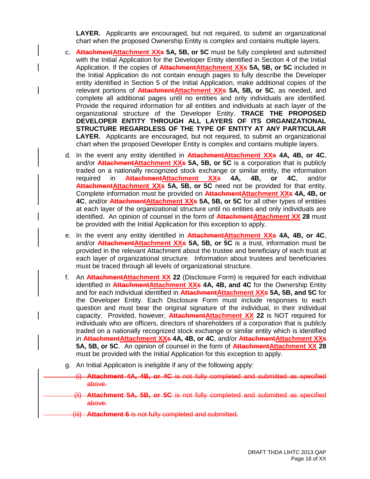**LAYER.** Applicants are encouraged, but not required, to submit an organizational chart when the proposed Ownership Entity is complex and contains multiple layers.

- c. **AttachmentAttachment XXs 5A, 5B, or 5C** must be fully completed and submitted with the Initial Application for the Developer Entity identified in Section 4 of the Initial Application. If the copies of **AttachmentAttachment XXs 5A, 5B, or 5C** included in the Initial Application do not contain enough pages to fully describe the Developer entity identified in Section 5 of the Initial Application, make additional copies of the relevant portions of **AttachmentAttachment XXs 5A, 5B, or 5C**, as needed, and complete all additional pages until no entities and only individuals are identified. Provide the required information for all entities and individuals at each layer of the organizational structure of the Developer Entity. **TRACE THE PROPOSED DEVELOPER ENTITY THROUGH ALL LAYERS OF ITS ORGANIZATIONAL STRUCTURE REGARDLESS OF THE TYPE OF ENTITY AT ANY PARTICULAR LAYER.** Applicants are encouraged, but not required, to submit an organizational chart when the proposed Developer Entity is complex and contains multiple layers.
- d. In the event any entity identified in **AttachmentAttachment XXs 4A, 4B, or 4C**, and/or **AttachmentAttachment XXs 5A, 5B, or 5C** is a corporation that is publicly traded on a nationally recognized stock exchange or similar entity, the information required in **AttachmentAttachment XXs 4A, 4B, or 4C**, and/or Attachment Attachment XXs 5A, 5B, or 5C need not be provided for that entity. Complete information must be provided on **AttachmentAttachment XXs 4A, 4B, or 4C**, and/or **AttachmentAttachment XXs 5A, 5B, or 5C** for all other types of entities at each layer of the organizational structure until no entities and only individuals are identified. An opinion of counsel in the form of **Attachment Attachment XX 28** must be provided with the Initial Application for this exception to apply.
- e. In the event any entity identified in **AttachmentAttachment XXs 4A, 4B, or 4C**, and/or **AttachmentAttachment XXs 5A, 5B, or 5C** is a trust, information must be provided in the relevant Attachment about the trustee and beneficiary of each trust at each layer of organizational structure. Information about trustees and beneficiaries must be traced through all levels of organizational structure.
- f. An **AttachmentAttachment XX 22** (Disclosure Form) is required for each individual identified in **AttachmentAttachment XXs 4A, 4B, and 4C** for the Ownership Entity and for each individual identified in **AttachmentAttachment XXs 5A, 5B, and 5C** for the Developer Entity. Each Disclosure Form must include responses to each question and must bear the original signature of the individual, in their individual capacity. Provided, however, **AttachmentAttachment XX 22** is NOT required for individuals who are officers, directors of shareholders of a corporation that is publicly traded on a nationally recognized stock exchange or similar entity which is identified in Attachment Attachment XXs 4A, 4B, or 4C, and/or Attachment Attachment XXs **5A, 5B, or 5C**. An opinion of counsel in the form of **AttachmentAttachment XX 28** must be provided with the Initial Application for this exception to apply.
- g. An Initial Application is ineligible if any of the following apply:
	- (i) **Attachment 4A, 4B, or 4C** is not fully completed and submitted as specified above.
	- (ii) **Attachment 5A, 5B, or 5C** is not fully completed and submitted as specified above.
	- (iii) **Attachment 6** is not fully completed and submitted.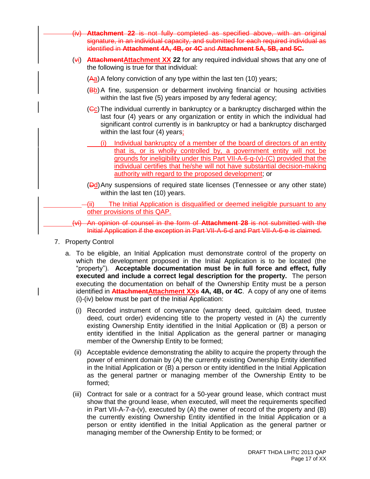- (iv) **Attachment 22** is not fully completed as specified above, with an original signature, in an individual capacity, and submitted for each required individual as identified in **Attachment 4A, 4B, or 4C** and **Attachment 5A, 5B, and 5C.**
- (vi) **AttachmentAttachment XX 22** for any required individual shows that any one of the following is true for that individual:
	- $(A<sub>a</sub>)$  A felony conviction of any type within the last ten (10) years;
	- (Bb) A fine, suspension or debarment involving financial or housing activities within the last five (5) years imposed by any federal agency;
	- $(GC)$  The individual currently in bankruptcy or a bankruptcy discharged within the last four (4) years or any organization or entity in which the individual had significant control currently is in bankruptcy or had a bankruptcy discharged within the last four (4) years;
		- (i) Individual bankruptcy of a member of the board of directors of an entity that is, or is wholly controlled by, a government entity will not be grounds for ineligibility under this Part VII-A-6-g-(v)-(C) provided that the individual certifies that he/she will not have substantial decision-making authority with regard to the proposed development; or
	- (Dd)Any suspensions of required state licenses (Tennessee or any other state) within the last ten (10) years.
	- (ii) The Initial Application is disqualified or deemed ineligible pursuant to any other provisions of this QAP.
- (vi) An opinion of counsel in the form of **Attachment 28** is not submitted with the Initial Application if the exception in Part VII-A-6-d and Part VII-A-6-e is claimed.
- 7. Property Control
	- a. To be eligible, an Initial Application must demonstrate control of the property on which the development proposed in the Initial Application is to be located (the "property"). **Acceptable documentation must be in full force and effect, fully executed and include a correct legal description for the property.** The person executing the documentation on behalf of the Ownership Entity must be a person identified in **AttachmentAttachment XXs 4A, 4B, or 4C**. A copy of any one of items (i)-(iv) below must be part of the Initial Application:
		- (i) Recorded instrument of conveyance (warranty deed, quitclaim deed, trustee deed, court order) evidencing title to the property vested in (A) the currently existing Ownership Entity identified in the Initial Application or (B) a person or entity identified in the Initial Application as the general partner or managing member of the Ownership Entity to be formed;
		- (ii) Acceptable evidence demonstrating the ability to acquire the property through the power of eminent domain by (A) the currently existing Ownership Entity identified in the Initial Application or (B) a person or entity identified in the Initial Application as the general partner or managing member of the Ownership Entity to be formed;
		- (iii) Contract for sale or a contract for a 50-year ground lease, which contract must show that the ground lease, when executed, will meet the requirements specified in Part VII-A-7-a-(v), executed by (A) the owner of record of the property and (B) the currently existing Ownership Entity identified in the Initial Application or a person or entity identified in the Initial Application as the general partner or managing member of the Ownership Entity to be formed; or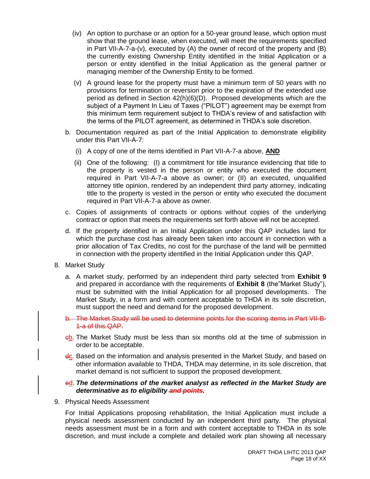- (iv) An option to purchase or an option for a 50-year ground lease, which option must show that the ground lease, when executed, will meet the requirements specified in Part VII-A-7-a-(v), executed by (A) the owner of record of the property and (B) the currently existing Ownership Entity identified in the Initial Application or a person or entity identified in the Initial Application as the general partner or managing member of the Ownership Entity to be formed.
- (v) A ground lease for the property must have a minimum term of 50 years with no provisions for termination or reversion prior to the expiration of the extended use period as defined in Section 42(h)(6)(D). Proposed developments which are the subject of a Payment In Lieu of Taxes ("PILOT") agreement may be exempt from this minimum term requirement subject to THDA's review of and satisfaction with the terms of the PILOT agreement, as determined in THDA's sole discretion.
- b. Documentation required as part of the Initial Application to demonstrate eligibility under this Part VII-A-7:
	- (i) A copy of one of the items identified in Part VII-A-7-a above, **AND**
	- (ii) One of the following: (I) a commitment for title insurance evidencing that title to the property is vested in the person or entity who executed the document required in Part VII-A-7-a above as owner; or (II) an executed, unqualified attorney title opinion, rendered by an independent third party attorney, indicating title to the property is vested in the person or entity who executed the document required in Part VII-A-7-a above as owner.
- c. Copies of assignments of contracts or options without copies of the underlying contract or option that meets the requirements set forth above will not be accepted.
- d. If the property identified in an Initial Application under this QAP includes land for which the purchase cost has already been taken into account in connection with a prior allocation of Tax Credits, no cost for the purchase of the land will be permitted in connection with the property identified in the Initial Application under this QAP.
- 8. Market Study
	- a. A market study, performed by an independent third party selected from **Exhibit 9** and prepared in accordance with the requirements of **Exhibit 8** (the"Market Study"), must be submitted with the Initial Application for all proposed developments. The Market Study, in a form and with content acceptable to THDA in its sole discretion, must support the need and demand for the proposed development.
	- b. The Market Study will be used to determine points for the scoring items in Part VII-B-1-a of this QAP.
	- cb. The Market Study must be less than six months old at the time of submission in order to be acceptable.
	- dc. Based on the information and analysis presented in the Market Study, and based on other information available to THDA, THDA may determine, in its sole discretion, that market demand is not sufficient to support the proposed development.

#### ed. *The determinations of the market analyst as reflected in the Market Study are determinative as to eligibility and points.*

9. Physical Needs Assessment

For Initial Applications proposing rehabilitation, the Initial Application must include a physical needs assessment conducted by an independent third party. The physical needs assessment must be in a form and with content acceptable to THDA in its sole discretion, and must include a complete and detailed work plan showing all necessary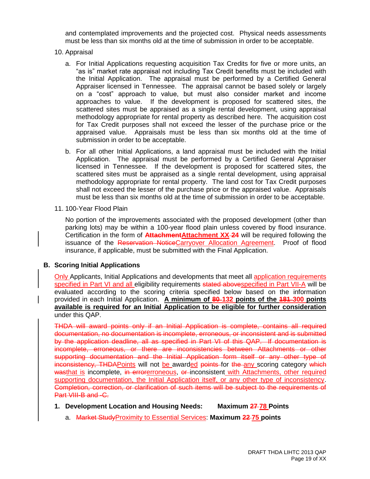and contemplated improvements and the projected cost. Physical needs assessments must be less than six months old at the time of submission in order to be acceptable.

- 10. Appraisal
	- a. For Initial Applications requesting acquisition Tax Credits for five or more units, an "as is" market rate appraisal not including Tax Credit benefits must be included with the Initial Application. The appraisal must be performed by a Certified General Appraiser licensed in Tennessee. The appraisal cannot be based solely or largely on a "cost" approach to value, but must also consider market and income approaches to value. If the development is proposed for scattered sites, the scattered sites must be appraised as a single rental development, using appraisal methodology appropriate for rental property as described here. The acquisition cost for Tax Credit purposes shall not exceed the lesser of the purchase price or the appraised value. Appraisals must be less than six months old at the time of submission in order to be acceptable.
	- b. For all other Initial Applications, a land appraisal must be included with the Initial Application. The appraisal must be performed by a Certified General Appraiser licensed in Tennessee. If the development is proposed for scattered sites, the scattered sites must be appraised as a single rental development, using appraisal methodology appropriate for rental property. The land cost for Tax Credit purposes shall not exceed the lesser of the purchase price or the appraised value. Appraisals must be less than six months old at the time of submission in order to be acceptable.
- 11. 100-Year Flood Plain

No portion of the improvements associated with the proposed development (other than parking lots) may be within a 100-year flood plain unless covered by flood insurance. Certification in the form of **AttachmentAttachment XX-24** will be required following the issuance of the Reservation NoticeCarryover Allocation Agreement. Proof of flood insurance, if applicable, must be submitted with the Final Application.

# **B. Scoring Initial Applications**

Only Applicants, Initial Applications and developments that meet all application requirements specified in Part VI and all eligibility requirements stated abovespecified in Part VII-A will be evaluated according to the scoring criteria specified below based on the information provided in each Initial Application. **A minimum of 80 132 points of the 181 300 points available is required for an Initial Application to be eligible for further consideration** under this QAP.

THDA will award points only if an Initial Application is complete, contains all required documentation, no documentation is incomplete, erroneous, or inconsistent and is submitted by the application deadline, all as specified in Part VI of this QAP. If documentation is incomplete, erroneous, or there are inconsistencies between Attachments or other supporting documentation and the Initial Application form itself or any other type of inconsistency, THDAPoints will not be awarded points for the any scoring category which wasthat is incomplete, in errorerroneous, or inconsistent with Attachments, other required supporting documentation, the Initial Application itself, or any other type of inconsistency. Completion, correction, or clarification of such items will be subject to the requirements of Part VIII-B and -C.

- **1. Development Location and Housing Needs: Maximum 27 78 Points**
	- a. Market StudyProximity to Essential Services: **Maximum 22 75 points**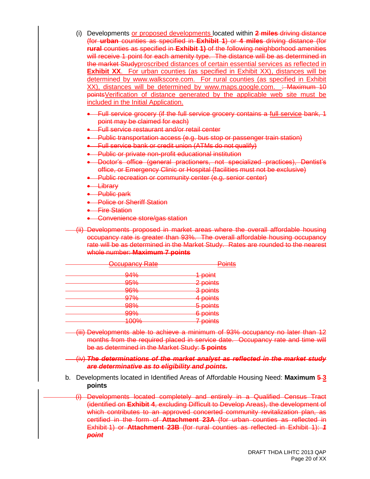- (i) Developments or proposed developments located within **2 miles** driving distance (for **urban** counties as specified in **Exhibit 1**) or **4 miles** driving distance (for **rural** counties as specified in **Exhibit 1)** of the following neighborhood amenities will receive 1 point for each amenity type. The distance will be as determined in the market Studyproscribed distances of certain essential services as reflected in **Exhibit XX**. For urban counties (as specified in Exhibit XX), distances will be determined by [www.walkscore.com.](http://www.walkscore.com/) For rural counties (as specified in Exhibit XX), distances will be determined by [www.maps.google.com.](http://www.maps.google.com/) : Maximum 10 pointsVerification of distance generated by the applicable web site must be included in the Initial Application.
	- Full service grocery (if the full service grocery contains a full service bank, 1 point may be claimed for each)
	- **Eull service restaurant and/or retail center**
	- Public transportation access (e.g. bus stop or passenger train station)
	- **Eull service bank or credit union (ATMs do not qualify)**
	- **•** Public or private non-profit educational institution
	- Doctor's office (general practioners, not specialized practices), Dentist's office, or Emergency Clinic or Hospital (facilities must not be exclusive)
	- **Public recreation or community center (e.g. senior center)**
	- **.** Library
	- **A** Public park
	- **•** Police or Sheriff Station
	- **•** Fire Station
	- Convenience store/gas station

(ii) Developments proposed in market areas where the overall affordable housing occupancy rate is greater than 93%. The overall affordable housing occupancy rate will be as determined in the Market Study. Rates are rounded to the nearest whole number: **Maximum 7 points**

| <u>Occupancy Rate</u> | $D$ ninte<br><del>umo</del>     |  |
|-----------------------|---------------------------------|--|
| <del>94%</del>        | 1 point                         |  |
| <b>Q504</b><br>ᡂ᠊ᠣ    | 2 points                        |  |
| <del>96%</del>        | 3 points                        |  |
| <del>97%</del>        | 4 points                        |  |
| <b>98%</b>            | 5 points                        |  |
| <del>99%</del>        | 6 points                        |  |
| 10004<br>᠇ᢦᠣ᠌᠋ᢇᠣ      | 7 nointe<br><del>, ponito</del> |  |

(iii) Developments able to achieve a minimum of 93% occupancy no later than 12 months from the required placed in service date. Occupancy rate and time will be as determined in the Market Study: **5 points**

(iv) *The determinations of the market analyst as reflected in the market study are determinative as to eligibility and points.*

b. Developments located in Identified Areas of Affordable Housing Need: **Maximum 5 3 points**

(i) Developments located completely and entirely in a Qualified Census Tract (identified on **Exhibit 4**, excluding Difficult to Develop Areas), the development of which contributes to an approved concerted community revitalization plan, as certified in the form of **Attachment 23A** (for urban counties as reflected in Exhibit 1) or **Attachment 23B** (for rural counties as reflected in Exhibit 1): *1 point*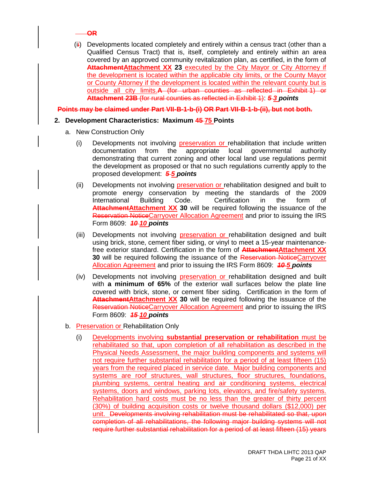

 $(i)$  Developments located completely and entirely within a census tract (other than a Qualified Census Tract) that is, itself, completely and entirely within an area covered by an approved community revitalization plan, as certified, in the form of **AttachmentAttachment XX 23** executed by the City Mayor or City Attorney if the development is located within the applicable city limits, or the County Mayor or County Attorney if the development is located within the relevant county but is outside all city limits.**A** (for urban counties as reflected in Exhibit 1) or **Attachment 23B** (for rural counties as reflected in Exhibit 1): *5 3 points*

**Points may be claimed under Part VII-B-1-b-(i) OR Part VII-B-1-b-(ii), but not both.**

# **2. Development Characteristics: Maximum 45 75 Points**

- a. New Construction Only
	- (i) Developments not involving preservation or rehabilitation that include written documentation from the appropriate local governmental authority demonstrating that current zoning and other local land use regulations permit the development as proposed or that no such regulations currently apply to the proposed development: *5 5 points*
	- (ii) Developments not involving preservation or rehabilitation designed and built to promote energy conservation by meeting the standards of the 2009 International Building Code. Certification in the form of **AttachmentAttachment XX 30** will be required following the issuance of the Reservation NoticeCarryover Allocation Agreement and prior to issuing the IRS Form 8609: *10 10 points*
	- (iii) Developments not involving preservation or rehabilitation designed and built using brick, stone, cement fiber siding, or vinyl to meet a 15-year maintenancefree exterior standard. Certification in the form of **AttachmentAttachment XX 30** will be required following the issuance of the Reservation NoticeCarryover Allocation Agreement and prior to issuing the IRS Form 8609: *10 5 points*
	- (iv) Developments not involving preservation or rehabilitation designed and built with **a minimum of 65%** of the exterior wall surfaces below the plate line covered with brick, stone, or cement fiber siding. Certification in the form of **Attachment Attachment XX 30** will be required following the issuance of the Reservation NoticeCarryover Allocation Agreement and prior to issuing the IRS Form 8609: *15 10 points*
- b. Preservation or Rehabilitation Only
	- (i) Developments involving **substantial preservation or rehabilitation** must be rehabilitated so that, upon completion of all rehabilitation as described in the Physical Needs Assessment, the major building components and systems will not require further substantial rehabilitation for a period of at least fifteen (15) years from the required placed in service date. Major building components and systems are roof structures, wall structures, floor structures, foundations, plumbing systems, central heating and air conditioning systems, electrical systems, doors and windows, parking lots, elevators, and fire/safety systems. Rehabilitation hard costs must be no less than the greater of thirty percent (30%) of building acquisition costs or twelve thousand dollars (\$12,000) per unit. Developments involving rehabilitation must be rehabilitated so that, upon completion of all rehabilitations, the following major building systems will not require further substantial rehabilitation for a period of at least fifteen (15) years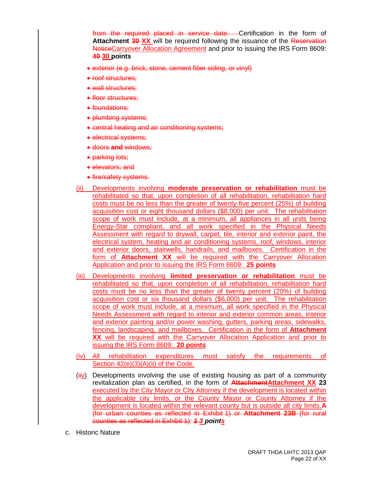from the required placed in service date. Certification in the form of **Attachment 30-XX** will be required following the issuance of the Reservation NoticeCarryover Allocation Agreement and prior to issuing the IRS Form 8609: **40 30 points**

- exterior (e.g. brick, stone, cement fiber siding, or vinyl)
- roof structures:
- wall structures:
- floor structures;
- foundations:
- plumbing systems;
- central heating and air conditioning systems;
- electrical systems:
- doors **and** windows;
- parking lots;
- elevators; and
- **e** fire/safety systems.
- (ii) Developments involving **moderate preservation or rehabilitation** must be rehabilitated so that, upon completion of all rehabilitation, rehabilitation hard costs must be no less than the greater of twenty-five percent (25%) of building acquisition cost or eight thousand dollars (\$8,000) per unit. The rehabilitation scope of work must include, at a minimum, all appliances in all units being Energy-Star compliant, and all work specified in the Physical Needs Assessment with regard to drywall, carpet, tile, interior and exterior paint, the electrical system, heating and air conditioning systems, roof, windows, interior and exterior doors, stairwells, handrails, and mailboxes. Certification in the form of **Attachment XX** will be required with the Carryover Allocation Application and prior to issuing the IRS Form 8609: **25 points**
- (iii) Developments involving **limited preservation or rehabilitation** must be rehabilitated so that, upon completion of all rehabilitation, rehabilitation hard costs must be no less than the greater of twenty percent (20%) of building acquisition cost or six thousand dollars (\$6,000) per unit. The rehabilitation scope of work must include, at a minimum, all work specified in the Physical Needs Assessment with regard to interior and exterior common areas, interior and exterior painting and/or power washing, gutters, parking areas, sidewalks, fencing, landscaping, and mailboxes. Certification in the form of **Attachment XX** will be required with the Carryover Allocation Application and prior to issuing the IRS Form 8609: **20 points**
- (iv) All rehabilitation expenditures must satisfy the requirements of Section 42(e)(3)(A)(ii) of the Code.
- $\frac{\partial u}{\partial y}$  Developments involving the use of existing housing as part of a community revitalization plan as certified, in the form of **AttachmentAttachment XX 23** executed by the City Mayor or City Attorney if the development is located within the applicable city limits, or the County Mayor or County Attorney if the development is located within the relevant county but is outside all city limits.**A** (for urban counties as reflected in Exhibit 1) or **Attachment 23B** (for rural counties as reflected in Exhibit 1): *1 3 points*
- c. Historic Nature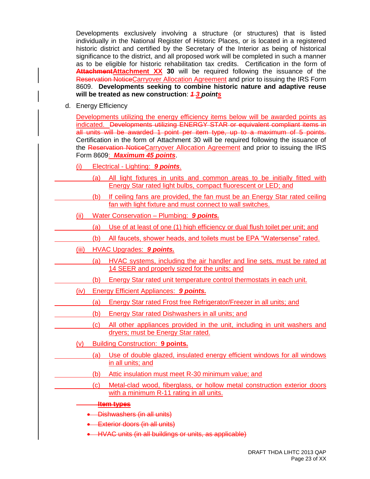Developments exclusively involving a structure (or structures) that is listed individually in the National Register of Historic Places, or is located in a registered historic district and certified by the Secretary of the Interior as being of historical significance to the district, and all proposed work will be completed in such a manner as to be eligible for historic rehabilitation tax credits. Certification in the form of **AttachmentAttachment XX 30** will be required following the issuance of the Reservation NoticeCarryover Allocation Agreement and prior to issuing the IRS Form 8609. **Developments seeking to combine historic nature and adaptive reuse will be treated as new construction**: *1 3 points*

d. Energy Efficiency

Developments utilizing the energy efficiency items below will be awarded points as indicated. Developments utilizing ENERGY STAR or equivalent compliant items in all units will be awarded 1 point per item type, up to a maximum of 5 points. Certification in the form of Attachment 30 will be required following the issuance of the Reservation NoticeCarryover Allocation Agreement and prior to issuing the IRS Form 8609: *Maximum 45 points*.

- (i) Electrical Lighting: *9 points*.
	- (a) All light fixtures in units and common areas to be initially fitted with Energy Star rated light bulbs, compact fluorescent or LED; and
	- (b) If ceiling fans are provided, the fan must be an Energy Star rated ceiling fan with light fixture and must connect to wall switches.
- (ii) Water Conservation Plumbing: *9 points.*
	- (a) Use of at least of one (1) high efficiency or dual flush toilet per unit; and
	- (b) All faucets, shower heads, and toilets must be EPA "Watersense" rated.
- (iii) HVAC Upgrades: *9 points.*
	- (a) HVAC systems, including the air handler and line sets, must be rated at 14 SEER and properly sized for the units; and
	- (b) Energy Star rated unit temperature control thermostats in each unit.
- (iv) Energy Efficient Appliances: *9 points.*
	- (a) Energy Star rated Frost free Refrigerator/Freezer in all units; and
	- (b) Energy Star rated Dishwashers in all units; and
	- (c) All other appliances provided in the unit, including in unit washers and dryers; must be Energy Star rated.
- (v) Building Construction: **9 points.**
	- (a) Use of double glazed, insulated energy efficient windows for all windows in all units; and
	- (b) Attic insulation must meet R-30 minimum value; and
	- (c) Metal-clad wood, fiberglass, or hollow metal construction exterior doors with a minimum R-11 rating in all units.

#### **Item types**

- Dishwashers (in all units)
- **Exterior doors (in all units)**
- HVAC units (in all buildings or units, as applicable)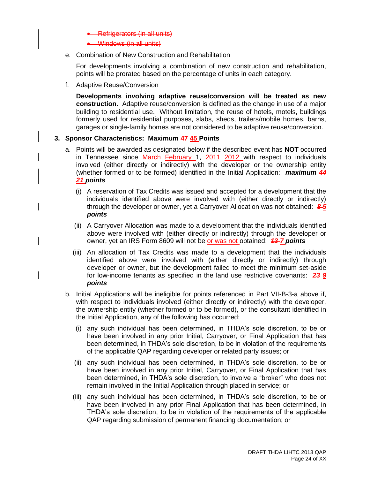- Refrigerators (in all units)
- Windows (in all units)
- e. Combination of New Construction and Rehabilitation

For developments involving a combination of new construction and rehabilitation, points will be prorated based on the percentage of units in each category.

f. Adaptive Reuse/Conversion

**Developments involving adaptive reuse/conversion will be treated as new construction.** Adaptive reuse/conversion is defined as the change in use of a major building to residential use. Without limitation, the reuse of hotels, motels, buildings formerly used for residential purposes, slabs, sheds, trailers/mobile homes, barns, garages or single-family homes are not considered to be adaptive reuse/conversion.

#### **3. Sponsor Characteristics: Maximum 47 45 Points**

- a. Points will be awarded as designated below if the described event has **NOT** occurred in Tennessee since March February 1, 2011 2012 with respect to individuals involved (either directly or indirectly) with the developer or the ownership entity (whether formed or to be formed) identified in the Initial Application: *maximum 44 21 points*
	- (i) A reservation of Tax Credits was issued and accepted for a development that the individuals identified above were involved with (either directly or indirectly) through the developer or owner, yet a Carryover Allocation was not obtained: *8 5 points*
	- (ii) A Carryover Allocation was made to a development that the individuals identified above were involved with (either directly or indirectly) through the developer or owner, yet an IRS Form 8609 will not be or was not obtained: *13 7 points*
	- (iii) An allocation of Tax Credits was made to a development that the individuals identified above were involved with (either directly or indirectly) through developer or owner, but the development failed to meet the minimum set-aside for low-income tenants as specified in the land use restrictive covenants: *23 9 points*
- b. Initial Applications will be ineligible for points referenced in Part VII-B-3-a above if, with respect to individuals involved (either directly or indirectly) with the developer, the ownership entity (whether formed or to be formed), or the consultant identified in the Initial Application, any of the following has occurred:
	- (i) any such individual has been determined, in THDA's sole discretion, to be or have been involved in any prior Initial, Carryover, or Final Application that has been determined, in THDA's sole discretion, to be in violation of the requirements of the applicable QAP regarding developer or related party issues; or
	- (ii) any such individual has been determined, in THDA's sole discretion, to be or have been involved in any prior Initial, Carryover, or Final Application that has been determined, in THDA's sole discretion, to involve a "broker" who does not remain involved in the Initial Application through placed in service; or
	- (iii) any such individual has been determined, in THDA's sole discretion, to be or have been involved in any prior Final Application that has been determined, in THDA's sole discretion, to be in violation of the requirements of the applicable QAP regarding submission of permanent financing documentation; or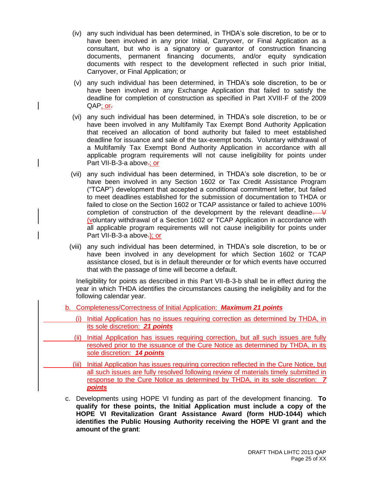- (iv) any such individual has been determined, in THDA's sole discretion, to be or to have been involved in any prior Initial, Carryover, or Final Application as a consultant, but who is a signatory or guarantor of construction financing documents, permanent financing documents, and/or equity syndication documents with respect to the development reflected in such prior Initial, Carryover, or Final Application; or
- (v) any such individual has been determined, in THDA's sole discretion, to be or have been involved in any Exchange Application that failed to satisfy the deadline for completion of construction as specified in Part XVIII-F of the 2009 QAP; or-
- (vi) any such individual has been determined, in THDA's sole discretion, to be or have been involved in any Multifamily Tax Exempt Bond Authority Application that received an allocation of bond authority but failed to meet established deadline for issuance and sale of the tax-exempt bonds. Voluntary withdrawal of a Multifamily Tax Exempt Bond Authority Application in accordance with all applicable program requirements will not cause ineligibility for points under Part VII-B-3-a above-; or
- (vii) any such individual has been determined, in THDA's sole discretion, to be or have been involved in any Section 1602 or Tax Credit Assistance Program ("TCAP") development that accepted a conditional commitment letter, but failed to meet deadlines established for the submission of documentation to THDA or failed to close on the Section 1602 or TCAP assistance or failed to achieve 100% completion of construction of the development by the relevant deadline.  $\frac{1}{2}$ (voluntary withdrawal of a Section 1602 or TCAP Application in accordance with all applicable program requirements will not cause ineligibility for points under Part VII-B-3-a above-); or
- (viii) any such individual has been determined, in THDA's sole discretion, to be or have been involved in any development for which Section 1602 or TCAP assistance closed, but is in default thereunder or for which events have occurred that with the passage of time will become a default.

Ineligibility for points as described in this Part VII-B-3-b shall be in effect during the year in which THDA identifies the circumstances causing the ineligibility and for the following calendar year.

- b. Completeness/Correctness of Initial Application: *Maximum 21 points*
	- (i) Initial Application has no issues requiring correction as determined by THDA, in its sole discretion: *21 points*
	- (ii) Initial Application has issues requiring correction, but all such issues are fully resolved prior to the issuance of the Cure Notice as determined by THDA, in its sole discretion: *14 points*
	- (iii) Initial Application has issues requiring correction reflected in the Cure Notice, but all such issues are fully resolved following review of materials timely submitted in response to the Cure Notice as determined by THDA, in its sole discretion: *7 points*
- c. Developments using HOPE VI funding as part of the development financing. **To qualify for these points, the Initial Application must include a copy of the HOPE VI Revitalization Grant Assistance Award (form HUD-1044) which identifies the Public Housing Authority receiving the HOPE VI grant and the amount of the grant**: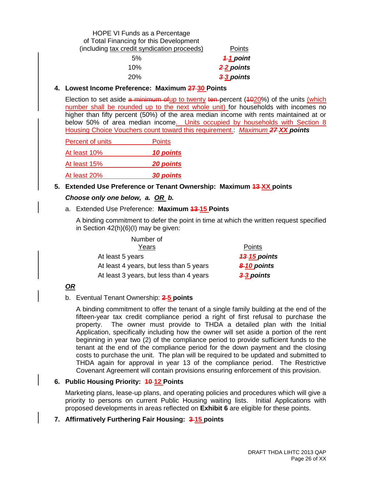# HOPE VI Funds as a Percentage of Total Financing for this Development (including tax credit syndication proceeds) Points 5% *1 1 point* 10% *2 2 points*

20% *3 3 points*

# **4. Lowest Income Preference: Maximum 27 30 Points**

Election to set aside  $a$  minimum of up to twenty ten-percent  $(4020%)$  of the units (which number shall be rounded up to the next whole unit) for households with incomes no higher than fifty percent (50%) of the area median income with rents maintained at or below 50% of area median income. Units occupied by households with Section 8 Housing Choice Vouchers count toward this requirement.: *Maximum 27 XX points*

| Percent of units | <b>Points</b>    |
|------------------|------------------|
| At least 10%     | 10 points        |
| At least 15%     | <b>20 points</b> |
| At least 20%     | 30 points        |

# **5. Extended Use Preference or Tenant Ownership: Maximum 13 XX points**

# *Choose only one below, a. OR b.*

# a. Extended Use Preference: **Maximum 13 15 Points**

A binding commitment to defer the point in time at which the written request specified in Section 42(h)(6)(I) may be given:

| Number of                               |                     |
|-----------------------------------------|---------------------|
| Years                                   | Points              |
| At least 5 years                        | <b>43-15 points</b> |
| At least 4 years, but less than 5 years | 8-10 points         |
| At least 3 years, but less than 4 years | 3-3 points          |

# *OR*

# b. Eventual Tenant Ownership: **2 5 points**

A binding commitment to offer the tenant of a single family building at the end of the fifteen-year tax credit compliance period a right of first refusal to purchase the property. The owner must provide to THDA a detailed plan with the Initial Application, specifically including how the owner will set aside a portion of the rent beginning in year two (2) of the compliance period to provide sufficient funds to the tenant at the end of the compliance period for the down payment and the closing costs to purchase the unit. The plan will be required to be updated and submitted to THDA again for approval in year 13 of the compliance period. The Restrictive Covenant Agreement will contain provisions ensuring enforcement of this provision.

# **6. Public Housing Priority: 10 12 Points**

Marketing plans, lease-up plans, and operating policies and procedures which will give a priority to persons on current Public Housing waiting lists. Initial Applications with proposed developments in areas reflected on **Exhibit 6** are eligible for these points.

# **7. Affirmatively Furthering Fair Housing: 3 15 points**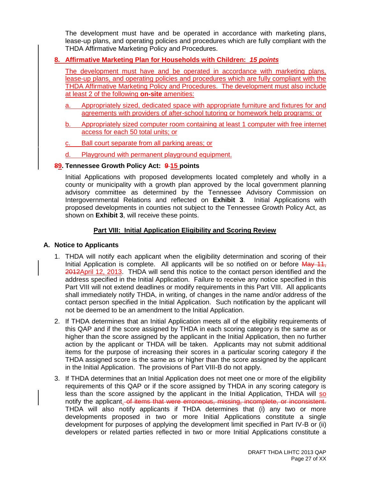The development must have and be operated in accordance with marketing plans, lease-up plans, and operating policies and procedures which are fully compliant with the THDA Affirmative Marketing Policy and Procedures.

# **8. Affirmative Marketing Plan for Households with Children:** *15 points*

The development must have and be operated in accordance with marketing plans, lease-up plans, and operating policies and procedures which are fully compliant with the THDA Affirmative Marketing Policy and Procedures. The development must also include at least 2 of the following **on-site** amenities:

- a. Appropriately sized, dedicated space with appropriate furniture and fixtures for and agreements with providers of after-school tutoring or homework help programs; or
- b. Appropriately sized computer room containing at least 1 computer with free internet access for each 50 total units; or
- Ball court separate from all parking areas; or
- Playground with permanent playground equipment.

#### **89. Tennessee Growth Policy Act: 9 15 points**

Initial Applications with proposed developments located completely and wholly in a county or municipality with a growth plan approved by the local government planning advisory committee as determined by the Tennessee Advisory Commission on Intergovernmental Relations and reflected on **Exhibit 3**. Initial Applications with proposed developments in counties not subject to the Tennessee Growth Policy Act, as shown on **Exhibit 3**, will receive these points.

#### **Part VIII: Initial Application Eligibility and Scoring Review**

# **A. Notice to Applicants**

- 1. THDA will notify each applicant when the eligibility determination and scoring of their Initial Application is complete. All applicants will be so notified on or before May 11, 2012April 12, 2013. THDA will send this notice to the contact person identified and the address specified in the Initial Application. Failure to receive any notice specified in this Part VIII will not extend deadlines or modify requirements in this Part VIII. All applicants shall immediately notify THDA, in writing, of changes in the name and/or address of the contact person specified in the Initial Application. Such notification by the applicant will not be deemed to be an amendment to the Initial Application.
- 2. If THDA determines that an Initial Application meets all of the eligibility requirements of this QAP and if the score assigned by THDA in each scoring category is the same as or higher than the score assigned by the applicant in the Initial Application, then no further action by the applicant or THDA will be taken. Applicants may not submit additional items for the purpose of increasing their scores in a particular scoring category if the THDA assigned score is the same as or higher than the score assigned by the applicant in the Initial Application. The provisions of Part VIII-B do not apply.
- 3. If THDA determines that an Initial Application does not meet one or more of the eligibility requirements of this QAP or if the score assigned by THDA in any scoring category is less than the score assigned by the applicant in the Initial Application, THDA will so notify the applicant. of items that were erroneous, missing, incomplete, or inconsistent. THDA will also notify applicants if THDA determines that (i) any two or more developments proposed in two or more Initial Applications constitute a single development for purposes of applying the development limit specified in Part IV-B or (ii) developers or related parties reflected in two or more Initial Applications constitute a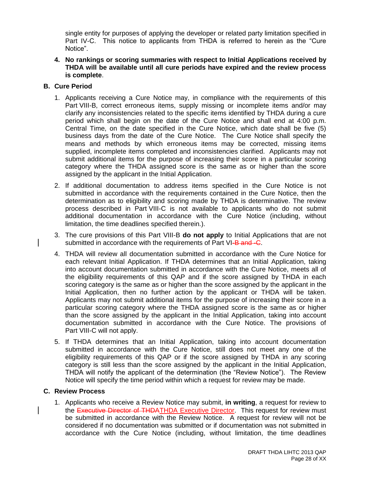single entity for purposes of applying the developer or related party limitation specified in Part IV-C. This notice to applicants from THDA is referred to herein as the "Cure Notice".

**4. No rankings or scoring summaries with respect to Initial Applications received by THDA will be available until all cure periods have expired and the review process is complete**.

# **B. Cure Period**

- 1. Applicants receiving a Cure Notice may, in compliance with the requirements of this Part VIII-B, correct erroneous items, supply missing or incomplete items and/or may clarify any inconsistencies related to the specific items identified by THDA during a cure period which shall begin on the date of the Cure Notice and shall end at 4:00 p.m. Central Time, on the date specified in the Cure Notice, which date shall be five (5) business days from the date of the Cure Notice. The Cure Notice shall specify the means and methods by which erroneous items may be corrected, missing items supplied, incomplete items completed and inconsistencies clarified. Applicants may not submit additional items for the purpose of increasing their score in a particular scoring category where the THDA assigned score is the same as or higher than the score assigned by the applicant in the Initial Application.
- 2. If additional documentation to address items specified in the Cure Notice is not submitted in accordance with the requirements contained in the Cure Notice, then the determination as to eligibility and scoring made by THDA is determinative. The review process described in Part VIII-C is not available to applicants who do not submit additional documentation in accordance with the Cure Notice (including, without limitation, the time deadlines specified therein.).
- 3. The cure provisions of this Part VIII-B **do not apply** to Initial Applications that are not submitted in accordance with the requirements of Part VI-B and -C.
- 4. THDA will review all documentation submitted in accordance with the Cure Notice for each relevant Initial Application. If THDA determines that an Initial Application, taking into account documentation submitted in accordance with the Cure Notice, meets all of the eligibility requirements of this QAP and if the score assigned by THDA in each scoring category is the same as or higher than the score assigned by the applicant in the Initial Application, then no further action by the applicant or THDA will be taken. Applicants may not submit additional items for the purpose of increasing their score in a particular scoring category where the THDA assigned score is the same as or higher than the score assigned by the applicant in the Initial Application, taking into account documentation submitted in accordance with the Cure Notice. The provisions of Part VIII-C will not apply.
- 5. If THDA determines that an Initial Application, taking into account documentation submitted in accordance with the Cure Notice, still does not meet any one of the eligibility requirements of this QAP or if the score assigned by THDA in any scoring category is still less than the score assigned by the applicant in the Initial Application, THDA will notify the applicant of the determination (the "Review Notice"). The Review Notice will specify the time period within which a request for review may be made.

# **C. Review Process**

1. Applicants who receive a Review Notice may submit, **in writing**, a request for review to the **Executive Director of THDATHDA** Executive Director. This request for review must be submitted in accordance with the Review Notice. A request for review will not be considered if no documentation was submitted or if documentation was not submitted in accordance with the Cure Notice (including, without limitation, the time deadlines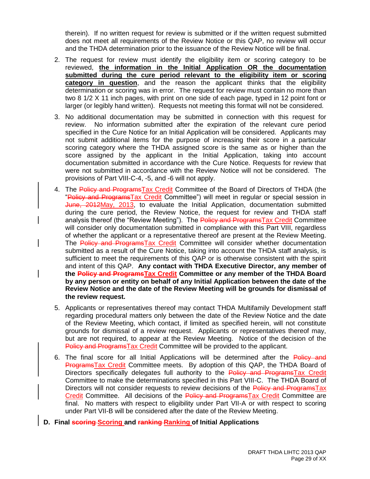therein). If no written request for review is submitted or if the written request submitted does not meet all requirements of the Review Notice or this QAP, no review will occur and the THDA determination prior to the issuance of the Review Notice will be final.

- 2. The request for review must identify the eligibility item or scoring category to be reviewed, **the information in the Initial Application OR the documentation submitted during the cure period relevant to the eligibility item or scoring category in question**, and the reason the applicant thinks that the eligibility determination or scoring was in error. The request for review must contain no more than two 8 1/2 X 11 inch pages, with print on one side of each page, typed in 12 point font or larger (or legibly hand written). Requests not meeting this format will not be considered.
- 3. No additional documentation may be submitted in connection with this request for review. No information submitted after the expiration of the relevant cure period specified in the Cure Notice for an Initial Application will be considered. Applicants may not submit additional items for the purpose of increasing their score in a particular scoring category where the THDA assigned score is the same as or higher than the score assigned by the applicant in the Initial Application, taking into account documentation submitted in accordance with the Cure Notice. Requests for review that were not submitted in accordance with the Review Notice will not be considered. The provisions of Part VIII-C-4, -5, and -6 will not apply.
- 4. The Policy and Programs Tax Credit Committee of the Board of Directors of THDA (the "Policy and Programs Tax Credit Committee") will meet in regular or special session in June, 2012May, 2013, to evaluate the Initial Application, documentation submitted during the cure period, the Review Notice, the request for review and THDA staff analysis thereof (the "Review Meeting"). The Policy and ProgramsTax Credit Committee will consider only documentation submitted in compliance with this Part VIII, regardless of whether the applicant or a representative thereof are present at the Review Meeting. The Policy and ProgramsTax Credit Committee will consider whether documentation submitted as a result of the Cure Notice, taking into account the THDA staff analysis, is sufficient to meet the requirements of this QAP or is otherwise consistent with the spirit and intent of this QAP. **Any contact with THDA Executive Director, any member of the Policy and ProgramsTax Credit Committee or any member of the THDA Board by any person or entity on behalf of any Initial Application between the date of the Review Notice and the date of the Review Meeting will be grounds for dismissal of the review request.**
- 5. Applicants or representatives thereof may contact THDA Multifamily Development staff regarding procedural matters only between the date of the Review Notice and the date of the Review Meeting, which contact, if limited as specified herein, will not constitute grounds for dismissal of a review request. Applicants or representatives thereof may, but are not required, to appear at the Review Meeting. Notice of the decision of the Policy and ProgramsTax Credit Committee will be provided to the applicant.
- 6. The final score for all Initial Applications will be determined after the Policy and ProgramsTax Credit Committee meets. By adoption of this QAP, the THDA Board of Directors specifically delegates full authority to the Policy and ProgramsTax Credit Committee to make the determinations specified in this Part VIII-C. The THDA Board of Directors will not consider requests to review decisions of the Policy and ProgramsTax Credit Committee. All decisions of the Policy and ProgramsTax Credit Committee are final. No matters with respect to eligibility under Part VII-A or with respect to scoring under Part VII-B will be considered after the date of the Review Meeting.
- **D. Final scoring Scoring and ranking Ranking of Initial Applications**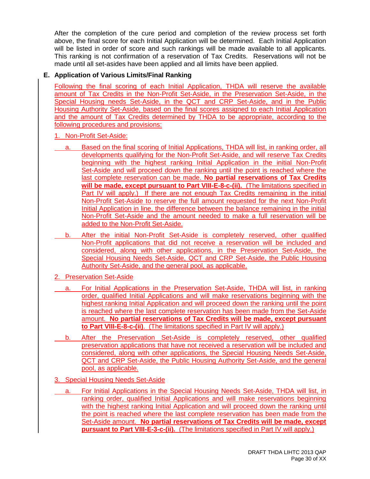After the completion of the cure period and completion of the review process set forth above, the final score for each Initial Application will be determined. Each Initial Application will be listed in order of score and such rankings will be made available to all applicants. This ranking is not confirmation of a reservation of Tax Credits. Reservations will not be made until all set-asides have been applied and all limits have been applied.

# **E. Application of Various Limits/Final Ranking**

Following the final scoring of each Initial Application, THDA will reserve the available amount of Tax Credits in the Non-Profit Set-Aside, in the Preservation Set-Aside, in the Special Housing needs Set-Aside, in the QCT and CRP Set-Aside, and in the Public Housing Authority Set-Aside, based on the final scores assigned to each Initial Application and the amount of Tax Credits determined by THDA to be appropriate, according to the following procedures and provisions:

# 1. Non-Profit Set-Aside:

- Based on the final scoring of Initial Applications, THDA will list, in ranking order, all developments qualifying for the Non-Profit Set-Aside, and will reserve Tax Credits beginning with the highest ranking Initial Application in the initial Non-Profit Set-Aside and will proceed down the ranking until the point is reached where the last complete reservation can be made. **No partial reservations of Tax Credits will be made, except pursuant to Part VIII-E-8-c-(ii).** (The limitations specified in Part IV will apply.) If there are not enough Tax Credits remaining in the initial Non-Profit Set-Aside to reserve the full amount requested for the next Non-Profit Initial Application in line, the difference between the balance remaining in the initial Non-Profit Set-Aside and the amount needed to make a full reservation will be added to the Non-Profit Set-Aside.
- b. After the initial Non-Profit Set-Aside is completely reserved, other qualified Non-Profit applications that did not receive a reservation will be included and considered, along with other applications, in the Preservation Set-Aside, the Special Housing Needs Set-Aside, QCT and CRP Set-Aside, the Public Housing Authority Set-Aside, and the general pool, as applicable.
- 2. Preservation Set-Aside
- a. For Initial Applications in the Preservation Set-Aside, THDA will list, in ranking order, qualified Initial Applications and will make reservations beginning with the highest ranking Initial Application and will proceed down the ranking until the point is reached where the last complete reservation has been made from the Set-Aside amount. **No partial reservations of Tax Credits will be made, except pursuant to Part VIII-E-8-c-(ii)**. (The limitations specified in Part IV will apply.)
- b. After the Preservation Set-Aside is completely reserved, other qualified preservation applications that have not received a reservation will be included and considered, along with other applications, the Special Housing Needs Set-Aside, QCT and CRP Set-Aside, the Public Housing Authority Set-Aside, and the general pool, as applicable.
- 3. Special Housing Needs Set-Aside
- For Initial Applications in the Special Housing Needs Set-Aside, THDA will list, in ranking order, qualified Initial Applications and will make reservations beginning with the highest ranking Initial Application and will proceed down the ranking until the point is reached where the last complete reservation has been made from the Set-Aside amount. **No partial reservations of Tax Credits will be made, except pursuant to Part VIII-E-3-c-(ii).** (The limitations specified in Part IV will apply.)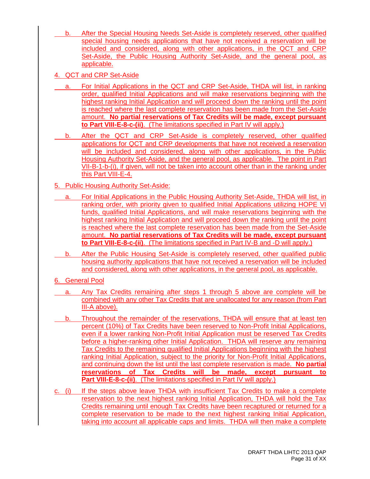- b. After the Special Housing Needs Set-Aside is completely reserved, other qualified special housing needs applications that have not received a reservation will be included and considered, along with other applications, in the QCT and CRP Set-Aside, the Public Housing Authority Set-Aside, and the general pool, as applicable.
- 4. QCT and CRP Set-Aside
- a. For Initial Applications in the QCT and CRP Set-Aside, THDA will list, in ranking order, qualified Initial Applications and will make reservations beginning with the highest ranking Initial Application and will proceed down the ranking until the point is reached where the last complete reservation has been made from the Set-Aside amount. **No partial reservations of Tax Credits will be made, except pursuant to Part VIII-E-8-c-(ii)**. (The limitations specified in Part IV will apply.)
- b. After the QCT and CRP Set-Aside is completely reserved, other qualified applications for QCT and CRP developments that have not received a reservation will be included and considered, along with other applications, in the Public Housing Authority Set-Aside, and the general pool, as applicable. The point in Part VII-B-1-b-(i), if given, will not be taken into account other than in the ranking under this Part VIII-E-4.
- 5. Public Housing Authority Set-Aside:
	- a. For Initial Applications in the Public Housing Authority Set-Aside, THDA will list, in ranking order, with priority given to qualified Initial Applications utilizing HOPE VI funds, qualified Initial Applications, and will make reservations beginning with the highest ranking Initial Application and will proceed down the ranking until the point is reached where the last complete reservation has been made from the Set-Aside amount. **No partial reservations of Tax Credits will be made, except pursuant to Part VIII-E-8-c-(ii)**. (The limitations specified in Part IV-B and -D will apply.)
- b. After the Public Housing Set-Aside is completely reserved, other qualified public housing authority applications that have not received a reservation will be included and considered, along with other applications, in the general pool, as applicable.
- 6. General Pool
- a. Any Tax Credits remaining after steps 1 through 5 above are complete will be combined with any other Tax Credits that are unallocated for any reason (from Part III-A above).
- b. Throughout the remainder of the reservations, THDA will ensure that at least ten percent (10%) of Tax Credits have been reserved to Non-Profit Initial Applications, even if a lower ranking Non-Profit Initial Application must be reserved Tax Credits before a higher-ranking other Initial Application. THDA will reserve any remaining Tax Credits to the remaining qualified Initial Applications beginning with the highest ranking Initial Application, subject to the priority for Non-Profit Initial Applications, and continuing down the list until the last complete reservation is made. **No partial reservations of Tax Credits will be made, except pursuant to Part VIII-E-8-c-(ii)**. (The limitations specified in Part IV will apply.)
- c. (i) If the steps above leave THDA with insufficient Tax Credits to make a complete reservation to the next highest ranking Initial Application, THDA will hold the Tax Credits remaining until enough Tax Credits have been recaptured or returned for a complete reservation to be made to the next highest ranking Initial Application, taking into account all applicable caps and limits. THDA will then make a complete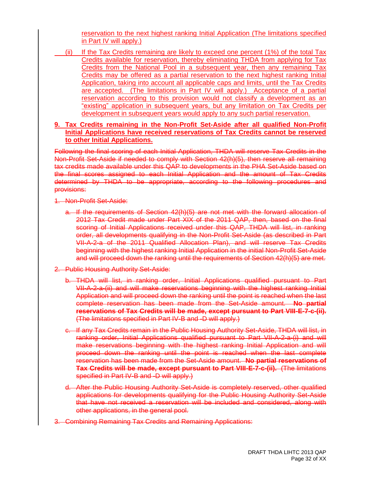reservation to the next highest ranking Initial Application (The limitations specified in Part IV will apply.)

(ii) If the Tax Credits remaining are likely to exceed one percent (1%) of the total Tax Credits available for reservation, thereby eliminating THDA from applying for Tax Credits from the National Pool in a subsequent year, then any remaining Tax Credits may be offered as a partial reservation to the next highest ranking Initial Application, taking into account all applicable caps and limits, until the Tax Credits are accepted. (The limitations in Part IV will apply.) Acceptance of a partial reservation according to this provision would not classify a development as an "existing" application in subsequent years, but any limitation on Tax Credits per development in subsequent years would apply to any such partial reservation.

# **9. Tax Credits remaining in the Non-Profit Set-Aside after all qualified Non-Profit Initial Applications have received reservations of Tax Credits cannot be reserved to other Initial Applications.**

Following the final scoring of each Initial Application, THDA will reserve Tax Credits in the Non-Profit Set-Aside if needed to comply with Section 42(h)(5), then reserve all remaining tax credits made available under this QAP to developments in the PHA Set-Aside based on the final scores assigned to each Initial Application and the amount of Tax Credits determined by THDA to be appropriate, according to the following procedures and provisions:

- 1. Non-Profit Set-Aside:
	- a. If the requirements of Section 42(h)(5) are not met with the forward allocation of 2012 Tax Credit made under Part XIX of the 2011 QAP, then, based on the final scoring of Initial Applications received under this QAP, THDA will list, in ranking order, all developments qualifying in the Non-Profit Set-Aside (as described in Part VII-A-2-a of the 2011 Qualified Allocation Plan), and will reserve Tax Credits beginning with the highest ranking Initial Application in the initial Non-Profit Set-Aside and will proceed down the ranking until the requirements of Section 42(h)(5) are met.
- 2. Public Housing Authority Set-Aside:
	- b. THDA will list, in ranking order, Initial Applications qualified pursuant to Part VII-A-2-a-(ii) and will make reservations beginning with the highest ranking Initial Application and will proceed down the ranking until the point is reached when the last complete reservation has been made from the Set-Aside amount. **No partial reservations of Tax Credits will be made, except pursuant to Part VIII-E-7-c-(ii).** (The limitations specified in Part IV-B and -D will apply.)
	- c. If any Tax Credits remain in the Public Housing Authority Set-Aside, THDA will list, in ranking order, Initial Applications qualified pursuant to Part VII-A-2-a-(i) and will make reservations beginning with the highest ranking Initial Application and will proceed down the ranking until the point is reached when the last complete reservation has been made from the Set-Aside amount. **No partial reservations of Tax Credits will be made, except pursuant to Part VIII-E-7-c-(ii).** (The limitations specified in Part IV-B and -D will apply.)
	- d. After the Public Housing Authority Set-Aside is completely reserved, other qualified applications for developments qualifying for the Public Housing Authority Set-Aside that have not received a reservation will be included and considered, along with other applications, in the general pool.
- 3. Combining Remaining Tax Credits and Remaining Applications: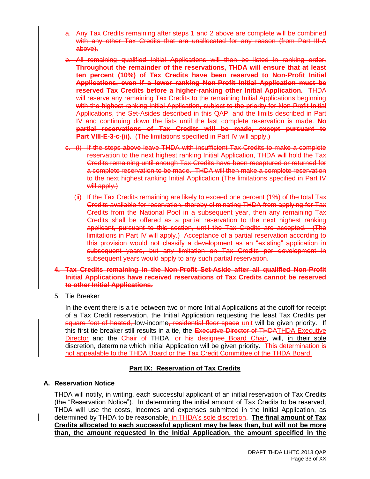- a. Any Tax Credits remaining after steps 1 and 2 above are complete will be combined with any other Tax Credits that are unallocated for any reason (from Part III-A above).
- b. All remaining qualified Initial Applications will then be listed in ranking order. **Throughout the remainder of the reservations, THDA will ensure that at least ten percent (10%) of Tax Credits have been reserved to Non-Profit Initial Applications, even if a lower ranking Non-Profit Initial Application must be reserved Tax Credits before a higher-ranking other Initial Application.** THDA will reserve any remaining Tax Credits to the remaining Initial Applications beginning with the highest ranking Initial Application, subject to the priority for Non-Profit Initial Applications, the Set-Asides described in this QAP, and the limits described in Part IV and continuing down the lists until the last complete reservation is made. **No partial reservations of Tax Credits will be made, except pursuant to Part VIII-E-3-c-(ii).** (The limitations specified in Part IV will apply.)
- c. (i) If the steps above leave THDA with insufficient Tax Credits to make a complete reservation to the next highest ranking Initial Application, THDA will hold the Tax Credits remaining until enough Tax Credits have been recaptured or returned for a complete reservation to be made. THDA will then make a complete reservation to the next highest ranking Initial Application (The limitations specified in Part IV will apply.)
	- (ii) If the Tax Credits remaining are likely to exceed one percent (1%) of the total Tax Credits available for reservation, thereby eliminating THDA from applying for Tax Credits from the National Pool in a subsequent year, then any remaining Tax Credits shall be offered as a partial reservation to the next highest ranking applicant, pursuant to this section, until the Tax Credits are accepted. (The limitations in Part IV will apply.) Acceptance of a partial reservation according to this provision would not classify a development as an "existing" application in subsequent years, but any limitation on Tax Credits per development in subsequent years would apply to any such partial reservation.
- **4. Tax Credits remaining in the Non-Profit Set-Aside after all qualified Non-Profit Initial Applications have received reservations of Tax Credits cannot be reserved to other Initial Applications.**
- 5. Tie Breaker

In the event there is a tie between two or more Initial Applications at the cutoff for receipt of a Tax Credit reservation, the Initial Application requesting the least Tax Credits per square foot of heated, low-income, residential floor space unit will be given priority. If this first tie breaker still results in a tie, the Executive Director of THDATHDA Executive Director and the Chair of THDA, or his designee Board Chair, will, in their sole discretion, determine which Initial Application will be given priority. This determination is not appealable to the THDA Board or the Tax Credit Committee of the THDA Board.

# **Part IX: Reservation of Tax Credits**

# **A. Reservation Notice**

THDA will notify, in writing, each successful applicant of an initial reservation of Tax Credits (the "Reservation Notice"). In determining the initial amount of Tax Credits to be reserved, THDA will use the costs, incomes and expenses submitted in the Initial Application, as determined by THDA to be reasonable, in THDA's sole discretion. **The final amount of Tax Credits allocated to each successful applicant may be less than, but will not be more than, the amount requested in the Initial Application, the amount specified in the**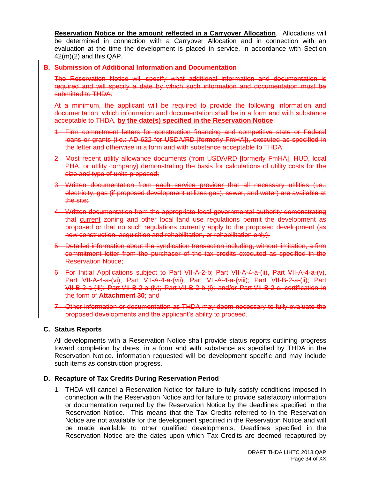**Reservation Notice or the amount reflected in a Carryover Allocation**. Allocations will be determined in connection with a Carryover Allocation and in connection with an evaluation at the time the development is placed in service, in accordance with Section 42(m)(2) and this QAP.

#### **B. Submission of Additional Information and Documentation**

The Reservation Notice will specify what additional information and documentation is required and will specify a date by which such information and documentation must be submitted to **THDA.** 

At a minimum, the applicant will be required to provide the following information and documentation, which information and documentation shall be in a form and with substance acceptable to THDA, **by the date(s) specified in the Reservation Notice**:

- 1. Firm commitment letters for construction financing and competitive state or Federal loans or grants (i.e.: AD-622 for USDA/RD [formerly FmHA]), executed as specified in the letter and otherwise in a form and with substance acceptable to THDA;
- 2. Most recent utility allowance documents (from USDA/RD [formerly FmHA], HUD, local PHA, or utility company) demonstrating the basis for calculations of utility costs for the size and type of units proposed;
- 3. Written documentation from each service provider that all necessary utilities (i.e.: electricity, gas (if proposed development utilizes gas), sewer, and water) are available at the site;
- 4. Written documentation from the appropriate local governmental authority demonstrating that current zoning and other local land use regulations permit the development as proposed or that no such regulations currently apply to the proposed development (as new construction, acquisition and rehabilitation, or rehabilitation only);
- 5. Detailed information about the syndication transaction including, without limitation, a firm commitment letter from the purchaser of the tax credits executed as specified in the Reservation Notice;
- 6. For Initial Applications subject to Part VII-A-2-b; Part VII-A-4-a-(ii), Part VII-A-4-a-(v), Part VII-A-4-a-(vi), Part VII-A-4-a-(vii), Part VII-A-4-a-(viii); Part VII-B-2-a-(ii); Part VII-B-2-a-(iii); Part VII-B-2-a-(iv); Part VII-B-2-b-(i); and/or Part VII-B-2-c, certification in the form of **Attachment 30**; and
- 7. Other information or documentation as THDA may deem necessary to fully evaluate the proposed developments and the applicant's ability to proceed.

#### **C. Status Reports**

All developments with a Reservation Notice shall provide status reports outlining progress toward completion by dates, in a form and with substance as specified by THDA in the Reservation Notice. Information requested will be development specific and may include such items as construction progress.

# **D. Recapture of Tax Credits During Reservation Period**

1. THDA will cancel a Reservation Notice for failure to fully satisfy conditions imposed in connection with the Reservation Notice and for failure to provide satisfactory information or documentation required by the Reservation Notice by the deadlines specified in the Reservation Notice. This means that the Tax Credits referred to in the Reservation Notice are not available for the development specified in the Reservation Notice and will be made available to other qualified developments. Deadlines specified in the Reservation Notice are the dates upon which Tax Credits are deemed recaptured by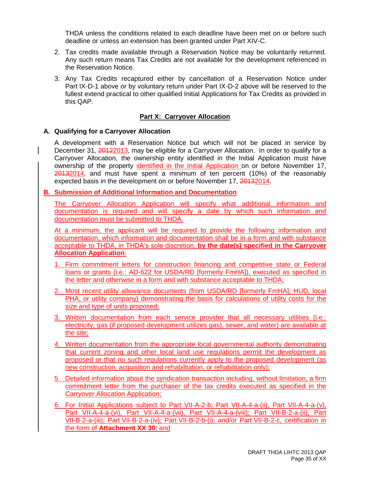THDA unless the conditions related to each deadline have been met on or before such deadline or unless an extension has been granted under Part XIV-C.

- 2. Tax credits made available through a Reservation Notice may be voluntarily returned. Any such return means Tax Credits are not available for the development referenced in the Reservation Notice.
- 3. Any Tax Credits recaptured either by cancellation of a Reservation Notice under Part IX-D-1 above or by voluntary return under Part IX-D-2 above will be reserved to the fullest extend practical to other qualified Initial Applications for Tax Credits as provided in this QAP.

#### **Part X: Carryover Allocation**

#### **A. Qualifying for a Carryover Allocation**

A development with a Reservation Notice but which will not be placed in service by December 31, 20122013, may be eligible for a Carryover Allocation. In order to qualify for a Carryover Allocation, the ownership entity identified in the Initial Application must have ownership of the property identified in the Initial Application on or before November 17, 20132014, and must have spent a minimum of ten percent (10%) of the reasonably expected basis in the development on or before November 17, 20132014.

#### **B. Submission of Additional Information and Documentation**

The Carryover Allocation Application will specify what additional information and documentation is required and will specify a date by which such information and documentation must be submitted to THDA.

At a minimum, the applicant will be required to provide the following information and documentation, which information and documentation shall be in a form and with substance acceptable to THDA, in THDA's sole discretion, **by the date(s) specified in the Carryover Allocation Application**:

- 1. Firm commitment letters for construction financing and competitive state or Federal loans or grants (i.e.: AD-622 for USDA/RD [formerly FmHA]), executed as specified in the letter and otherwise in a form and with substance acceptable to THDA;
- 2. Most recent utility allowance documents (from USDA/RD [formerly FmHA], HUD, local PHA, or utility company) demonstrating the basis for calculations of utility costs for the size and type of units proposed;
- 3. Written documentation from each service provider that all necessary utilities (i.e.: electricity, gas (if proposed development utilizes gas), sewer, and water) are available at the site;
- 4. Written documentation from the appropriate local governmental authority demonstrating that current zoning and other local land use regulations permit the development as proposed or that no such regulations currently apply to the proposed development (as new construction, acquisition and rehabilitation, or rehabilitation only);
- 5. Detailed information about the syndication transaction including, without limitation, a firm commitment letter from the purchaser of the tax credits executed as specified in the Carryover Allocation Application;
- 6. For Initial Applications subject to Part VII-A-2-b; Part VII-A-4-a-(ii), Part VII-A-4-a-(v), Part VII-A-4-a-(vi), Part VII-A-4-a-(vii), Part VII-A-4-a-(viii); Part VII-B-2-a-(ii); Part VII-B-2-a-(iii); Part VII-B-2-a-(iv); Part VII-B-2-b-(i); and/or Part VII-B-2-c, certification in the form of **Attachment XX 30**; and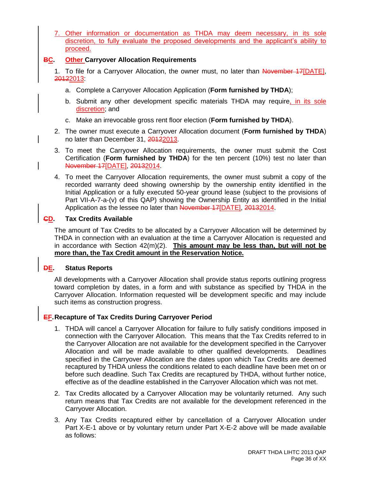7. Other information or documentation as THDA may deem necessary, in its sole discretion, to fully evaluate the proposed developments and the applicant's ability to proceed.

# **BC. Other Carryover Allocation Requirements**

- 1. To file for a Carryover Allocation, the owner must, no later than November 17 [DATE], 20122013:
	- a. Complete a Carryover Allocation Application (**Form furnished by THDA**);
	- b. Submit any other development specific materials THDA may require, in its sole discretion; and
	- c. Make an irrevocable gross rent floor election (**Form furnished by THDA**).
- 2. The owner must execute a Carryover Allocation document (**Form furnished by THDA**) no later than December 31, 20122013.
- 3. To meet the Carryover Allocation requirements, the owner must submit the Cost Certification (**Form furnished by THDA**) for the ten percent (10%) test no later than November 17[DATE], 20132014.
- 4. To meet the Carryover Allocation requirements, the owner must submit a copy of the recorded warranty deed showing ownership by the ownership entity identified in the Initial Application or a fully executed 50-year ground lease (subject to the provisions of Part VII-A-7-a-(v) of this QAP) showing the Ownership Entity as identified in the Initial Application as the lessee no later than November 17<sup>[DATE]</sup>, 20132014.

# **CD. Tax Credits Available**

The amount of Tax Credits to be allocated by a Carryover Allocation will be determined by THDA in connection with an evaluation at the time a Carryover Allocation is requested and in accordance with Section 42(m)(2). **This amount may be less than, but will not be more than, the Tax Credit amount in the Reservation Notice.**

# **DE. Status Reports**

All developments with a Carryover Allocation shall provide status reports outlining progress toward completion by dates, in a form and with substance as specified by THDA in the Carryover Allocation. Information requested will be development specific and may include such items as construction progress.

# **EF.Recapture of Tax Credits During Carryover Period**

- 1. THDA will cancel a Carryover Allocation for failure to fully satisfy conditions imposed in connection with the Carryover Allocation. This means that the Tax Credits referred to in the Carryover Allocation are not available for the development specified in the Carryover Allocation and will be made available to other qualified developments. Deadlines specified in the Carryover Allocation are the dates upon which Tax Credits are deemed recaptured by THDA unless the conditions related to each deadline have been met on or before such deadline. Such Tax Credits are recaptured by THDA, without further notice, effective as of the deadline established in the Carryover Allocation which was not met.
- 2. Tax Credits allocated by a Carryover Allocation may be voluntarily returned. Any such return means that Tax Credits are not available for the development referenced in the Carryover Allocation.
- 3. Any Tax Credits recaptured either by cancellation of a Carryover Allocation under Part X-E-1 above or by voluntary return under Part X-E-2 above will be made available as follows: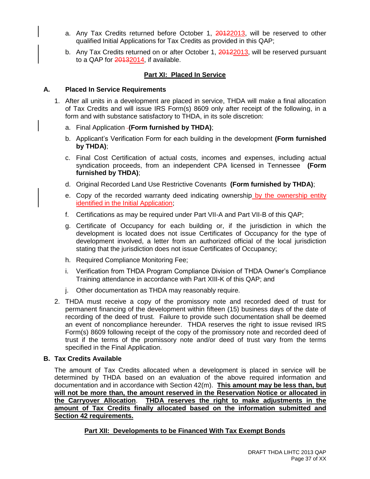- a. Any Tax Credits returned before October 1, 20122013, will be reserved to other qualified Initial Applications for Tax Credits as provided in this QAP;
- b. Any Tax Credits returned on or after October 1, 20122013, will be reserved pursuant to a QAP for 20132014, if available.

# **Part XI: Placed In Service**

#### **A. Placed In Service Requirements**

- 1. After all units in a development are placed in service, THDA will make a final allocation of Tax Credits and will issue IRS Form(s) 8609 only after receipt of the following, in a form and with substance satisfactory to THDA, in its sole discretion:
	- a. Final Application **(Form furnished by THDA)**;
	- b. Applicant's Verification Form for each building in the development **(Form furnished by THDA)**;
	- c. Final Cost Certification of actual costs, incomes and expenses, including actual syndication proceeds, from an independent CPA licensed in Tennessee **(Form furnished by THDA)**;
	- d. Original Recorded Land Use Restrictive Covenants **(Form furnished by THDA)**;
	- e. Copy of the recorded warranty deed indicating ownership by the ownership entity identified in the Initial Application;
	- f. Certifications as may be required under Part VII-A and Part VII-B of this QAP;
	- g. Certificate of Occupancy for each building or, if the jurisdiction in which the development is located does not issue Certificates of Occupancy for the type of development involved, a letter from an authorized official of the local jurisdiction stating that the jurisdiction does not issue Certificates of Occupancy;
	- h. Required Compliance Monitoring Fee;
	- i. Verification from THDA Program Compliance Division of THDA Owner's Compliance Training attendance in accordance with Part XIII-K of this QAP; and
	- j. Other documentation as THDA may reasonably require.
- 2. THDA must receive a copy of the promissory note and recorded deed of trust for permanent financing of the development within fifteen (15) business days of the date of recording of the deed of trust. Failure to provide such documentation shall be deemed an event of noncompliance hereunder. THDA reserves the right to issue revised IRS Form(s) 8609 following receipt of the copy of the promissory note and recorded deed of trust if the terms of the promissory note and/or deed of trust vary from the terms specified in the Final Application.

# **B. Tax Credits Available**

The amount of Tax Credits allocated when a development is placed in service will be determined by THDA based on an evaluation of the above required information and documentation and in accordance with Section 42(m). **This amount may be less than, but will not be more than, the amount reserved in the Reservation Notice or allocated in the Carryover Allocation**. **THDA reserves the right to make adjustments in the amount of Tax Credits finally allocated based on the information submitted and Section 42 requirements.**

# **Part XII: Developments to be Financed With Tax Exempt Bonds**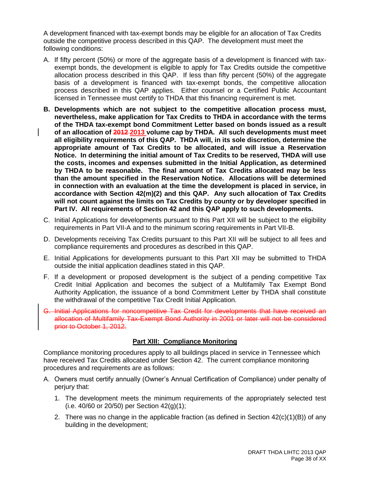A development financed with tax-exempt bonds may be eligible for an allocation of Tax Credits outside the competitive process described in this QAP. The development must meet the following conditions:

- A. If fifty percent (50%) or more of the aggregate basis of a development is financed with taxexempt bonds, the development is eligible to apply for Tax Credits outside the competitive allocation process described in this QAP. If less than fifty percent (50%) of the aggregate basis of a development is financed with tax-exempt bonds, the competitive allocation process described in this QAP applies. Either counsel or a Certified Public Accountant licensed in Tennessee must certify to THDA that this financing requirement is met.
- **B. Developments which are not subject to the competitive allocation process must, nevertheless, make application for Tax Credits to THDA in accordance with the terms of the THDA tax-exempt bond Commitment Letter based on bonds issued as a result of an allocation of 2012 2013 volume cap by THDA. All such developments must meet all eligibility requirements of this QAP. THDA will, in its sole discretion, determine the appropriate amount of Tax Credits to be allocated, and will issue a Reservation Notice. In determining the initial amount of Tax Credits to be reserved, THDA will use the costs, incomes and expenses submitted in the Initial Application, as determined by THDA to be reasonable. The final amount of Tax Credits allocated may be less than the amount specified in the Reservation Notice. Allocations will be determined in connection with an evaluation at the time the development is placed in service, in accordance with Section 42(m)(2) and this QAP. Any such allocation of Tax Credits will not count against the limits on Tax Credits by county or by developer specified in Part IV. All requirements of Section 42 and this QAP apply to such developments.**
- C. Initial Applications for developments pursuant to this Part XII will be subject to the eligibility requirements in Part VII-A and to the minimum scoring requirements in Part VII-B.
- D. Developments receiving Tax Credits pursuant to this Part XII will be subject to all fees and compliance requirements and procedures as described in this QAP.
- E. Initial Applications for developments pursuant to this Part XII may be submitted to THDA outside the initial application deadlines stated in this QAP.
- F. If a development or proposed development is the subject of a pending competitive Tax Credit Initial Application and becomes the subject of a Multifamily Tax Exempt Bond Authority Application, the issuance of a bond Commitment Letter by THDA shall constitute the withdrawal of the competitive Tax Credit Initial Application.
- G. Initial Applications for noncompetitive Tax Credit for developments that have received an allocation of Multifamily Tax-Exempt Bond Authority in 2001 or later will not be considered prior to October 1, 2012.

# **Part XIII: Compliance Monitoring**

Compliance monitoring procedures apply to all buildings placed in service in Tennessee which have received Tax Credits allocated under Section 42. The current compliance monitoring procedures and requirements are as follows:

- A. Owners must certify annually (Owner's Annual Certification of Compliance) under penalty of perjury that:
	- 1. The development meets the minimum requirements of the appropriately selected test (i.e. 40/60 or 20/50) per Section 42(g)(1);
	- 2. There was no change in the applicable fraction (as defined in Section  $42(c)(1)(B)$ ) of any building in the development;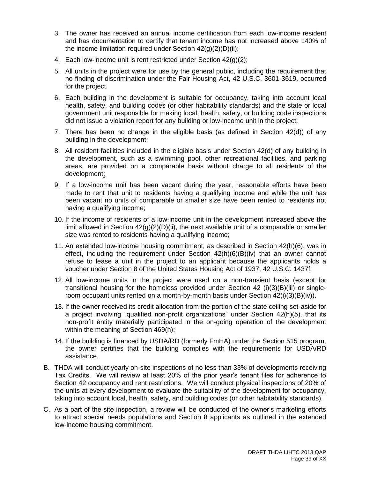- 3. The owner has received an annual income certification from each low-income resident and has documentation to certify that tenant income has not increased above 140% of the income limitation required under Section  $42(q)(2)(D)(ii)$ ;
- 4. Each low-income unit is rent restricted under Section 42(g)(2);
- 5. All units in the project were for use by the general public, including the requirement that no finding of discrimination under the Fair Housing Act, 42 U.S.C. 3601-3619, occurred for the project.
- 6. Each building in the development is suitable for occupancy, taking into account local health, safety, and building codes (or other habitability standards) and the state or local government unit responsible for making local, health, safety, or building code inspections did not issue a violation report for any building or low-income unit in the project;
- 7. There has been no change in the eligible basis (as defined in Section 42(d)) of any building in the development;
- 8. All resident facilities included in the eligible basis under Section 42(d) of any building in the development, such as a swimming pool, other recreational facilities, and parking areas, are provided on a comparable basis without charge to all residents of the development;
- 9. If a low-income unit has been vacant during the year, reasonable efforts have been made to rent that unit to residents having a qualifying income and while the unit has been vacant no units of comparable or smaller size have been rented to residents not having a qualifying income;
- 10. If the income of residents of a low-income unit in the development increased above the limit allowed in Section  $42(g)(2)(D)(ii)$ , the next available unit of a comparable or smaller size was rented to residents having a qualifying income;
- 11. An extended low-income housing commitment, as described in Section 42(h)(6), was in effect, including the requirement under Section 42(h)(6)(B)(iv) that an owner cannot refuse to lease a unit in the project to an applicant because the applicants holds a voucher under Section 8 of the United States Housing Act of 1937, 42 U.S.C. 1437f;
- 12. All low-income units in the project were used on a non-transient basis (except for transitional housing for the homeless provided under Section 42 (i)(3)(B)(iii) or singleroom occupant units rented on a month-by-month basis under Section 42(i)(3)(B)(iv)).
- 13. If the owner received its credit allocation from the portion of the state ceiling set-aside for a project involving "qualified non-profit organizations" under Section 42(h)(5), that its non-profit entity materially participated in the on-going operation of the development within the meaning of Section 469(h);
- 14. If the building is financed by USDA/RD (formerly FmHA) under the Section 515 program, the owner certifies that the building complies with the requirements for USDA/RD assistance.
- B. THDA will conduct yearly on-site inspections of no less than 33% of developments receiving Tax Credits. We will review at least 20% of the prior year's tenant files for adherence to Section 42 occupancy and rent restrictions. We will conduct physical inspections of 20% of the units at every development to evaluate the suitability of the development for occupancy, taking into account local, health, safety, and building codes (or other habitability standards).
- C. As a part of the site inspection, a review will be conducted of the owner's marketing efforts to attract special needs populations and Section 8 applicants as outlined in the extended low-income housing commitment.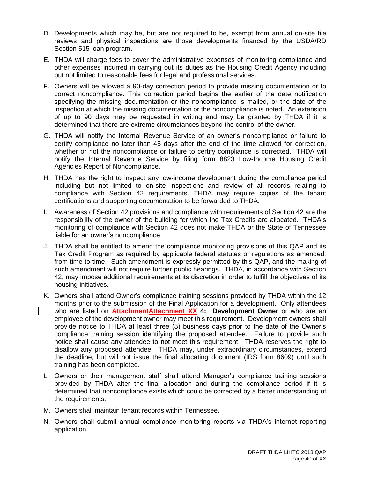- D. Developments which may be, but are not required to be, exempt from annual on-site file reviews and physical inspections are those developments financed by the USDA/RD Section 515 loan program.
- E. THDA will charge fees to cover the administrative expenses of monitoring compliance and other expenses incurred in carrying out its duties as the Housing Credit Agency including but not limited to reasonable fees for legal and professional services.
- F. Owners will be allowed a 90-day correction period to provide missing documentation or to correct noncompliance. This correction period begins the earlier of the date notification specifying the missing documentation or the noncompliance is mailed, or the date of the inspection at which the missing documentation or the noncompliance is noted. An extension of up to 90 days may be requested in writing and may be granted by THDA if it is determined that there are extreme circumstances beyond the control of the owner.
- G. THDA will notify the Internal Revenue Service of an owner's noncompliance or failure to certify compliance no later than 45 days after the end of the time allowed for correction, whether or not the noncompliance or failure to certify compliance is corrected. THDA will notify the Internal Revenue Service by filing form 8823 Low-Income Housing Credit Agencies Report of Noncompliance.
- H. THDA has the right to inspect any low-income development during the compliance period including but not limited to on-site inspections and review of all records relating to compliance with Section 42 requirements. THDA may require copies of the tenant certifications and supporting documentation to be forwarded to THDA.
- I. Awareness of Section 42 provisions and compliance with requirements of Section 42 are the responsibility of the owner of the building for which the Tax Credits are allocated. THDA's monitoring of compliance with Section 42 does not make THDA or the State of Tennessee liable for an owner's noncompliance.
- J. THDA shall be entitled to amend the compliance monitoring provisions of this QAP and its Tax Credit Program as required by applicable federal statutes or regulations as amended, from time-to-time. Such amendment is expressly permitted by this QAP, and the making of such amendment will not require further public hearings. THDA, in accordance with Section 42, may impose additional requirements at its discretion in order to fulfill the objectives of its housing initiatives.
- K. Owners shall attend Owner's compliance training sessions provided by THDA within the 12 months prior to the submission of the Final Application for a development. Only attendees who are listed on **AttachmentAttachment XX 4: Development Owner** or who are an employee of the development owner may meet this requirement. Development owners shall provide notice to THDA at least three (3) business days prior to the date of the Owner's compliance training session identifying the proposed attendee. Failure to provide such notice shall cause any attendee to not meet this requirement. THDA reserves the right to disallow any proposed attendee. THDA may, under extraordinary circumstances, extend the deadline, but will not issue the final allocating document (IRS form 8609) until such training has been completed.
- L. Owners or their management staff shall attend Manager's compliance training sessions provided by THDA after the final allocation and during the compliance period if it is determined that noncompliance exists which could be corrected by a better understanding of the requirements.
- M. Owners shall maintain tenant records within Tennessee.
- N. Owners shall submit annual compliance monitoring reports via THDA's internet reporting application.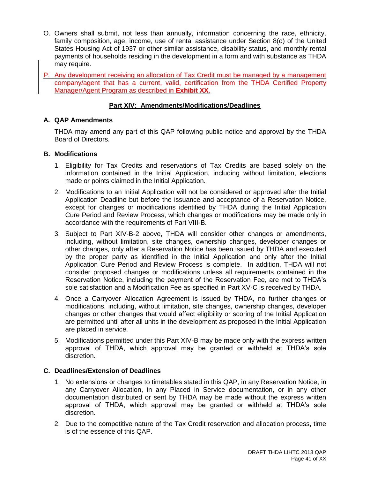- O. Owners shall submit, not less than annually, information concerning the race, ethnicity, family composition, age, income, use of rental assistance under Section 8(o) of the United States Housing Act of 1937 or other similar assistance, disability status, and monthly rental payments of households residing in the development in a form and with substance as THDA may require.
- P. Any development receiving an allocation of Tax Credit must be managed by a management company/agent that has a current, valid, certification from the THDA Certified Property Manager/Agent Program as described in **Exhibit XX**.

# **Part XIV: Amendments/Modifications/Deadlines**

# **A. QAP Amendments**

THDA may amend any part of this QAP following public notice and approval by the THDA Board of Directors.

# **B. Modifications**

- 1. Eligibility for Tax Credits and reservations of Tax Credits are based solely on the information contained in the Initial Application, including without limitation, elections made or points claimed in the Initial Application.
- 2. Modifications to an Initial Application will not be considered or approved after the Initial Application Deadline but before the issuance and acceptance of a Reservation Notice, except for changes or modifications identified by THDA during the Initial Application Cure Period and Review Process, which changes or modifications may be made only in accordance with the requirements of Part VIII-B.
- 3. Subject to Part XIV-B-2 above, THDA will consider other changes or amendments, including, without limitation, site changes, ownership changes, developer changes or other changes, only after a Reservation Notice has been issued by THDA and executed by the proper party as identified in the Initial Application and only after the Initial Application Cure Period and Review Process is complete. In addition, THDA will not consider proposed changes or modifications unless all requirements contained in the Reservation Notice, including the payment of the Reservation Fee, are met to THDA's sole satisfaction and a Modification Fee as specified in Part XV-C is received by THDA.
- 4. Once a Carryover Allocation Agreement is issued by THDA, no further changes or modifications, including, without limitation, site changes, ownership changes, developer changes or other changes that would affect eligibility or scoring of the Initial Application are permitted until after all units in the development as proposed in the Initial Application are placed in service.
- 5. Modifications permitted under this Part XIV-B may be made only with the express written approval of THDA, which approval may be granted or withheld at THDA's sole discretion.

# **C. Deadlines/Extension of Deadlines**

- 1. No extensions or changes to timetables stated in this QAP, in any Reservation Notice, in any Carryover Allocation, in any Placed in Service documentation, or in any other documentation distributed or sent by THDA may be made without the express written approval of THDA, which approval may be granted or withheld at THDA's sole discretion.
- 2. Due to the competitive nature of the Tax Credit reservation and allocation process, time is of the essence of this QAP.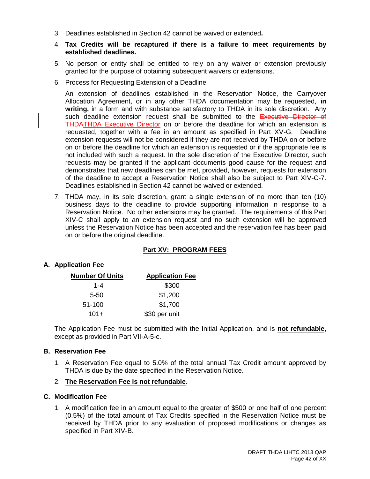3. Deadlines established in Section 42 cannot be waived or extended**.**

#### 4. **Tax Credits will be recaptured if there is a failure to meet requirements by established deadlines.**

- 5. No person or entity shall be entitled to rely on any waiver or extension previously granted for the purpose of obtaining subsequent waivers or extensions.
- 6. Process for Requesting Extension of a Deadline

An extension of deadlines established in the Reservation Notice, the Carryover Allocation Agreement, or in any other THDA documentation may be requested, **in writing,** in a form and with substance satisfactory to THDA in its sole discretion. Any such deadline extension request shall be submitted to the Executive Director of THDATHDA Executive Director on or before the deadline for which an extension is requested, together with a fee in an amount as specified in Part XV-G. Deadline extension requests will not be considered if they are not received by THDA on or before on or before the deadline for which an extension is requested or if the appropriate fee is not included with such a request. In the sole discretion of the Executive Director, such requests may be granted if the applicant documents good cause for the request and demonstrates that new deadlines can be met, provided, however, requests for extension of the deadline to accept a Reservation Notice shall also be subject to Part XIV-C-7. Deadlines established in Section 42 cannot be waived or extended.

7. THDA may, in its sole discretion, grant a single extension of no more than ten (10) business days to the deadline to provide supporting information in response to a Reservation Notice. No other extensions may be granted. The requirements of this Part XIV-C shall apply to an extension request and no such extension will be approved unless the Reservation Notice has been accepted and the reservation fee has been paid on or before the original deadline.

# **Part XV: PROGRAM FEES**

# **A. Application Fee**

| <b>Number Of Units</b> | <b>Application Fee</b> |
|------------------------|------------------------|
| 1-4                    | \$300                  |
| $5 - 50$               | \$1,200                |
| 51-100                 | \$1,700                |
| $101+$                 | \$30 per unit          |

The Application Fee must be submitted with the Initial Application, and is **not refundable**, except as provided in Part VII-A-5-c.

#### **B. Reservation Fee**

- 1. A Reservation Fee equal to 5.0% of the total annual Tax Credit amount approved by THDA is due by the date specified in the Reservation Notice.
- 2. **The Reservation Fee is not refundable**.

#### **C. Modification Fee**

1. A modification fee in an amount equal to the greater of \$500 or one half of one percent (0.5%) of the total amount of Tax Credits specified in the Reservation Notice must be received by THDA prior to any evaluation of proposed modifications or changes as specified in Part XIV-B.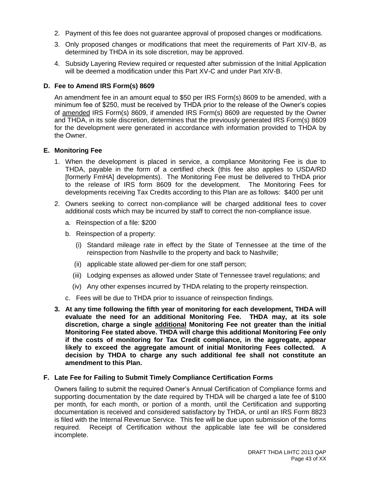- 2. Payment of this fee does not guarantee approval of proposed changes or modifications.
- 3. Only proposed changes or modifications that meet the requirements of Part XIV-B, as determined by THDA in its sole discretion, may be approved.
- 4. Subsidy Layering Review required or requested after submission of the Initial Application will be deemed a modification under this Part XV-C and under Part XIV-B.

# **D. Fee to Amend IRS Form(s) 8609**

An amendment fee in an amount equal to \$50 per IRS Form(s) 8609 to be amended, with a minimum fee of \$250, must be received by THDA prior to the release of the Owner's copies of amended IRS Form(s) 8609, if amended IRS Form(s) 8609 are requested by the Owner and THDA, in its sole discretion, determines that the previously generated IRS Form(s) 8609 for the development were generated in accordance with information provided to THDA by the Owner.

# **E. Monitoring Fee**

- 1. When the development is placed in service, a compliance Monitoring Fee is due to THDA, payable in the form of a certified check (this fee also applies to USDA/RD [formerly FmHA] developments). The Monitoring Fee must be delivered to THDA prior to the release of IRS form 8609 for the development. The Monitoring Fees for developments receiving Tax Credits according to this Plan are as follows: \$400 per unit
- 2. Owners seeking to correct non-compliance will be charged additional fees to cover additional costs which may be incurred by staff to correct the non-compliance issue.
	- a. Reinspection of a file: \$200
	- b. Reinspection of a property:
		- (i) Standard mileage rate in effect by the State of Tennessee at the time of the reinspection from Nashville to the property and back to Nashville;
		- (ii) applicable state allowed per-diem for one staff person;
		- (iii) Lodging expenses as allowed under State of Tennessee travel regulations; and
		- (iv) Any other expenses incurred by THDA relating to the property reinspection.
	- c. Fees will be due to THDA prior to issuance of reinspection findings.
- **3. At any time following the fifth year of monitoring for each development, THDA will evaluate the need for an additional Monitoring Fee. THDA may, at its sole discretion, charge a single additional Monitoring Fee not greater than the initial Monitoring Fee stated above. THDA will charge this additional Monitoring Fee only if the costs of monitoring for Tax Credit compliance, in the aggregate, appear likely to exceed the aggregate amount of initial Monitoring Fees collected. A decision by THDA to charge any such additional fee shall not constitute an amendment to this Plan.**

# **F. Late Fee for Failing to Submit Timely Compliance Certification Forms**

Owners failing to submit the required Owner's Annual Certification of Compliance forms and supporting documentation by the date required by THDA will be charged a late fee of \$100 per month, for each month, or portion of a month, until the Certification and supporting documentation is received and considered satisfactory by THDA, or until an IRS Form 8823 is filed with the Internal Revenue Service. This fee will be due upon submission of the forms required. Receipt of Certification without the applicable late fee will be considered incomplete.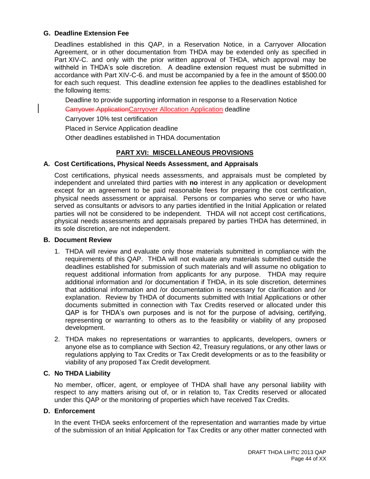#### **G. Deadline Extension Fee**

Deadlines established in this QAP, in a Reservation Notice, in a Carryover Allocation Agreement, or in other documentation from THDA may be extended only as specified in Part XIV-C. and only with the prior written approval of THDA, which approval may be withheld in THDA's sole discretion. A deadline extension request must be submitted in accordance with Part XIV-C-6. and must be accompanied by a fee in the amount of \$500.00 for each such request. This deadline extension fee applies to the deadlines established for the following items:

Deadline to provide supporting information in response to a Reservation Notice

**Carryover ApplicationCarryover Allocation Application deadline** 

Carryover 10% test certification

Placed in Service Application deadline

Other deadlines established in THDA documentation

# **PART XVI: MISCELLANEOUS PROVISIONS**

#### **A. Cost Certifications, Physical Needs Assessment, and Appraisals**

Cost certifications, physical needs assessments, and appraisals must be completed by independent and unrelated third parties with **no** interest in any application or development except for an agreement to be paid reasonable fees for preparing the cost certification, physical needs assessment or appraisal. Persons or companies who serve or who have served as consultants or advisors to any parties identified in the Initial Application or related parties will not be considered to be independent. THDA will not accept cost certifications, physical needs assessments and appraisals prepared by parties THDA has determined, in its sole discretion, are not independent.

#### **B. Document Review**

- 1. THDA will review and evaluate only those materials submitted in compliance with the requirements of this QAP. THDA will not evaluate any materials submitted outside the deadlines established for submission of such materials and will assume no obligation to request additional information from applicants for any purpose. THDA may require additional information and /or documentation if THDA, in its sole discretion, determines that additional information and /or documentation is necessary for clarification and /or explanation. Review by THDA of documents submitted with Initial Applications or other documents submitted in connection with Tax Credits reserved or allocated under this QAP is for THDA's own purposes and is not for the purpose of advising, certifying, representing or warranting to others as to the feasibility or viability of any proposed development.
- 2. THDA makes no representations or warranties to applicants, developers, owners or anyone else as to compliance with Section 42, Treasury regulations, or any other laws or regulations applying to Tax Credits or Tax Credit developments or as to the feasibility or viability of any proposed Tax Credit development.

# **C. No THDA Liability**

No member, officer, agent, or employee of THDA shall have any personal liability with respect to any matters arising out of, or in relation to, Tax Credits reserved or allocated under this QAP or the monitoring of properties which have received Tax Credits.

#### **D. Enforcement**

In the event THDA seeks enforcement of the representation and warranties made by virtue of the submission of an Initial Application for Tax Credits or any other matter connected with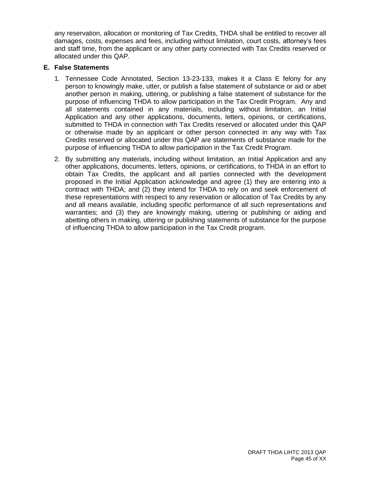any reservation, allocation or monitoring of Tax Credits, THDA shall be entitled to recover all damages, costs, expenses and fees, including without limitation, court costs, attorney's fees and staff time, from the applicant or any other party connected with Tax Credits reserved or allocated under this QAP.

#### **E. False Statements**

- 1. Tennessee Code Annotated, Section 13-23-133, makes it a Class E felony for any person to knowingly make, utter, or publish a false statement of substance or aid or abet another person in making, uttering, or publishing a false statement of substance for the purpose of influencing THDA to allow participation in the Tax Credit Program. Any and all statements contained in any materials, including without limitation, an Initial Application and any other applications, documents, letters, opinions, or certifications, submitted to THDA in connection with Tax Credits reserved or allocated under this QAP or otherwise made by an applicant or other person connected in any way with Tax Credits reserved or allocated under this QAP are statements of substance made for the purpose of influencing THDA to allow participation in the Tax Credit Program.
- 2. By submitting any materials, including without limitation, an Initial Application and any other applications, documents, letters, opinions, or certifications, to THDA in an effort to obtain Tax Credits, the applicant and all parties connected with the development proposed in the Initial Application acknowledge and agree (1) they are entering into a contract with THDA; and (2) they intend for THDA to rely on and seek enforcement of these representations with respect to any reservation or allocation of Tax Credits by any and all means available, including specific performance of all such representations and warranties; and (3) they are knowingly making, uttering or publishing or aiding and abetting others in making, uttering or publishing statements of substance for the purpose of influencing THDA to allow participation in the Tax Credit program.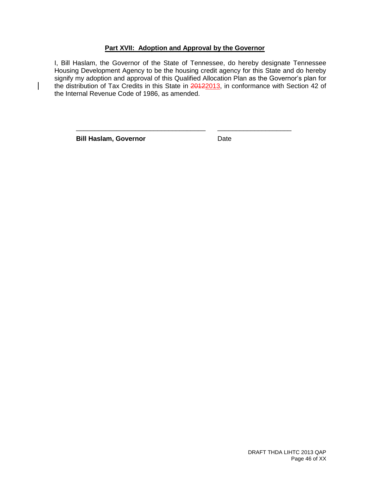# **Part XVII: Adoption and Approval by the Governor**

I, Bill Haslam, the Governor of the State of Tennessee, do hereby designate Tennessee Housing Development Agency to be the housing credit agency for this State and do hereby signify my adoption and approval of this Qualified Allocation Plan as the Governor's plan for the distribution of Tax Credits in this State in 20122013, in conformance with Section 42 of the Internal Revenue Code of 1986, as amended.

\_\_\_\_\_\_\_\_\_\_\_\_\_\_\_\_\_\_\_\_\_\_\_\_\_\_\_\_\_\_\_\_\_\_\_ \_\_\_\_\_\_\_\_\_\_\_\_\_\_\_\_\_\_\_\_

**Bill Haslam, Governor Date** 

 $\overline{\phantom{a}}$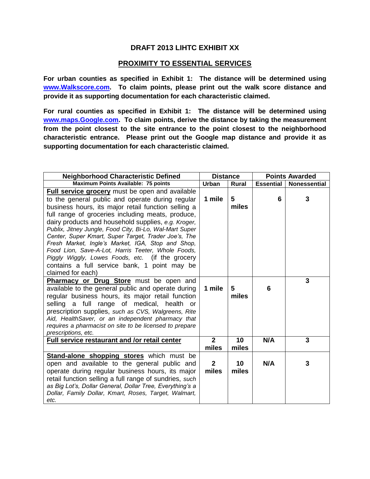# **DRAFT 2013 LIHTC EXHIBIT XX**

# **PROXIMITY TO ESSENTIAL SERVICES**

**For urban counties as specified in Exhibit 1: The distance will be determined using [www.Walkscore.com.](http://www.walkscore.com/) To claim points, please print out the walk score distance and provide it as supporting documentation for each characteristic claimed.**

**For rural counties as specified in Exhibit 1: The distance will be determined using [www.maps.Google.com.](http://www.maps.google.com/) To claim points, derive the distance by taking the measurement from the point closest to the site entrance to the point closest to the neighborhood characteristic entrance. Please print out the Google map distance and provide it as supporting documentation for each characteristic claimed.** 

| <b>Neighborhood Characteristic Defined</b>                                                                                                                                                                                                                                                                                                                                                                                                                                                                                                                                                                                           | <b>Distance</b>         |              | <b>Points Awarded</b> |                     |  |
|--------------------------------------------------------------------------------------------------------------------------------------------------------------------------------------------------------------------------------------------------------------------------------------------------------------------------------------------------------------------------------------------------------------------------------------------------------------------------------------------------------------------------------------------------------------------------------------------------------------------------------------|-------------------------|--------------|-----------------------|---------------------|--|
| Maximum Points Available: 75 points                                                                                                                                                                                                                                                                                                                                                                                                                                                                                                                                                                                                  | Urban                   | <b>Rural</b> | <b>Essential</b>      | <b>Nonessential</b> |  |
| <b>Full service grocery</b> must be open and available<br>to the general public and operate during regular<br>business hours, its major retail function selling a<br>full range of groceries including meats, produce,<br>dairy products and household supplies, e.g. Kroger,<br>Publix, Jitney Jungle, Food City, Bi-Lo, Wal-Mart Super<br>Center, Super Kmart, Super Target, Trader Joe's, The<br>Fresh Market, Ingle's Market, IGA, Stop and Shop,<br>Food Lion, Save-A-Lot, Harris Teeter, Whole Foods,<br>Piggly Wiggly, Lowes Foods, etc. (if the grocery<br>contains a full service bank, 1 point may be<br>claimed for each) | 1 mile                  | 5<br>miles   | 6                     | 3                   |  |
| <b>Pharmacy or Drug Store</b> must be open and<br>available to the general public and operate during<br>regular business hours, its major retail function<br>a full range of medical,<br>health<br>selling<br>or<br>prescription supplies, such as CVS, Walgreens, Rite<br>Aid, HealthSaver, or an independent pharmacy that<br>requires a pharmacist on site to be licensed to prepare<br>prescriptions, etc.                                                                                                                                                                                                                       | 1 mile                  | 5<br>miles   | 6                     | 3                   |  |
| Full service restaurant and /or retail center                                                                                                                                                                                                                                                                                                                                                                                                                                                                                                                                                                                        | $\overline{2}$<br>miles | 10<br>miles  | N/A                   | $\overline{3}$      |  |
| Stand-alone shopping stores which must be<br>open and available to the general public and<br>operate during regular business hours, its major<br>retail function selling a full range of sundries, such<br>as Big Lot's, Dollar General, Dollar Tree, Everything's a<br>Dollar, Family Dollar, Kmart, Roses, Target, Walmart,<br>etc.                                                                                                                                                                                                                                                                                                | $\mathbf{2}$<br>miles   | 10<br>miles  | N/A                   | 3                   |  |